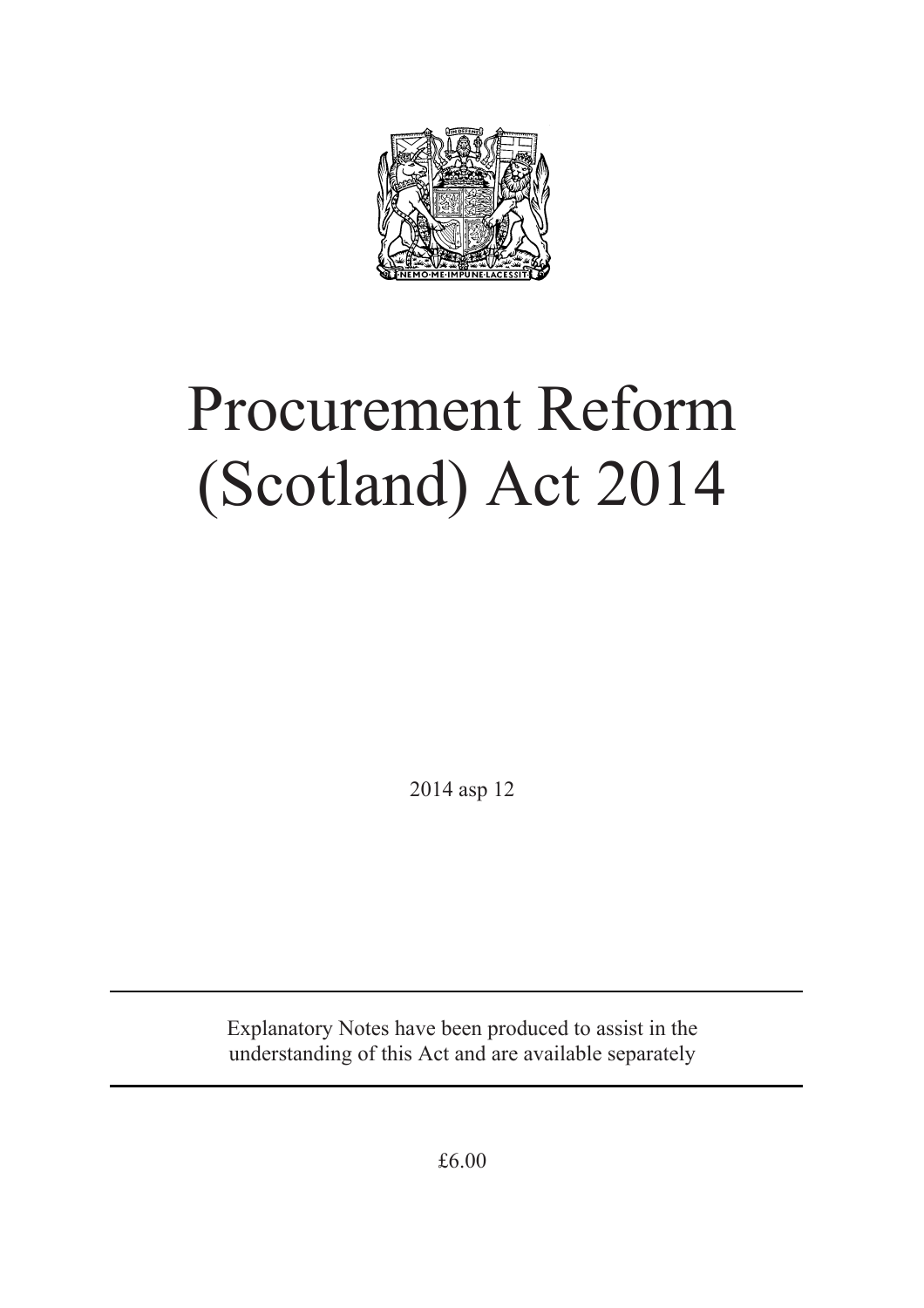

# Procurement Reform (Scotland) Act 2014

2014 asp 12

Explanatory Notes have been produced to assist in the understanding of this Act and are available separately

£6.00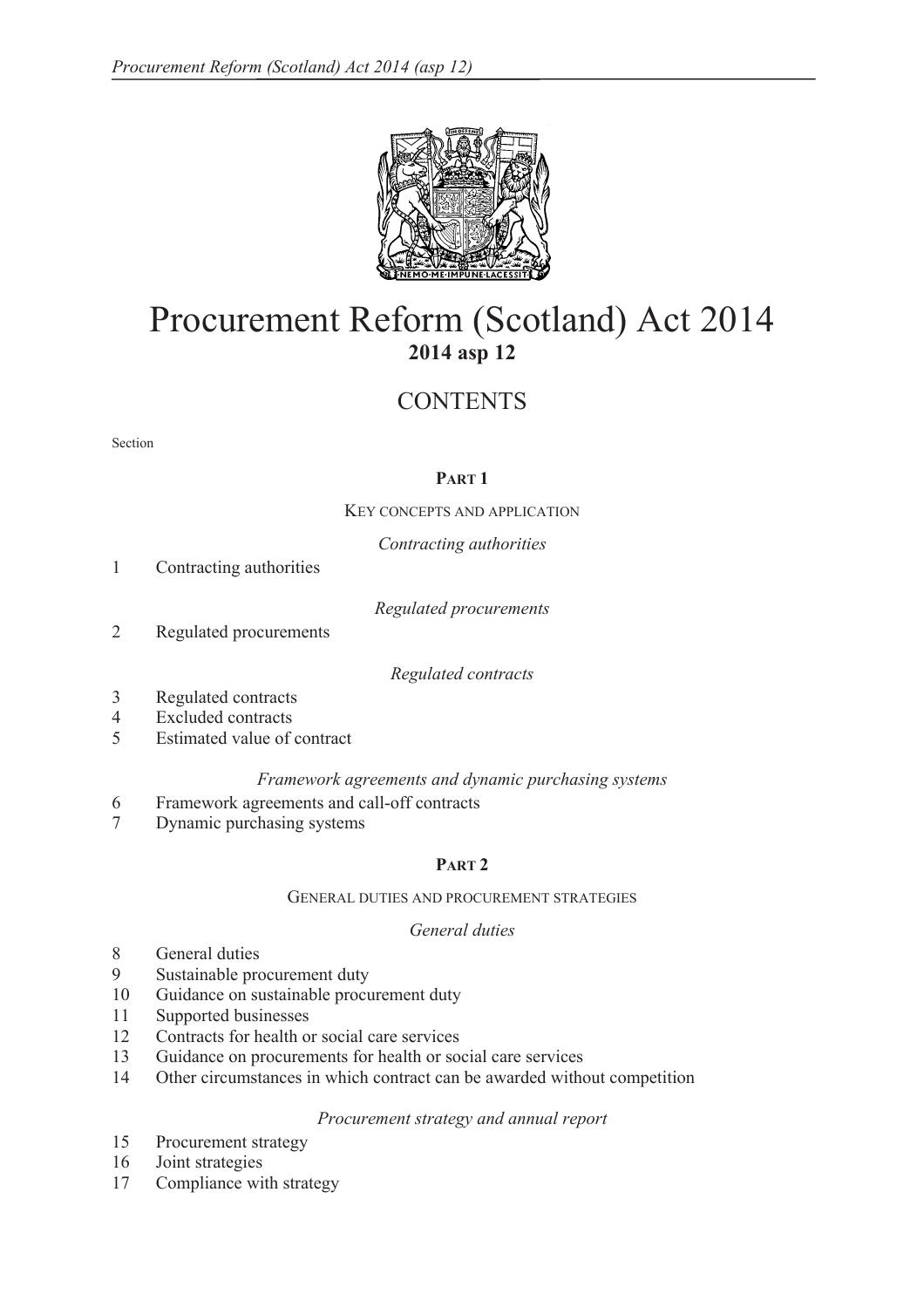

# Procurement Reform (Scotland) Act 2014 **2014 asp 12**

# **CONTENTS**

#### Section

# **PART 1**

KEY CONCEPTS AND APPLICATION

*Contracting authorities* 

1 Contracting authorities

*Regulated procurements* 

2 Regulated procurements

*Regulated contracts* 

- 3 Regulated contracts
- 4 Excluded contracts
- 5 Estimated value of contract

# *Framework agreements and dynamic purchasing systems*

- 6 Framework agreements and call-off contracts
- 7 Dynamic purchasing systems

# **PART 2**

#### GENERAL DUTIES AND PROCUREMENT STRATEGIES

# *General duties*

- 8 General duties
- 9 Sustainable procurement duty
- 10 Guidance on sustainable procurement duty
- 11 Supported businesses
- 12 Contracts for health or social care services
- 13 Guidance on procurements for health or social care services
- 14 Other circumstances in which contract can be awarded without competition

#### *Procurement strategy and annual report*

- 15 Procurement strategy
- 16 Joint strategies
- 17 Compliance with strategy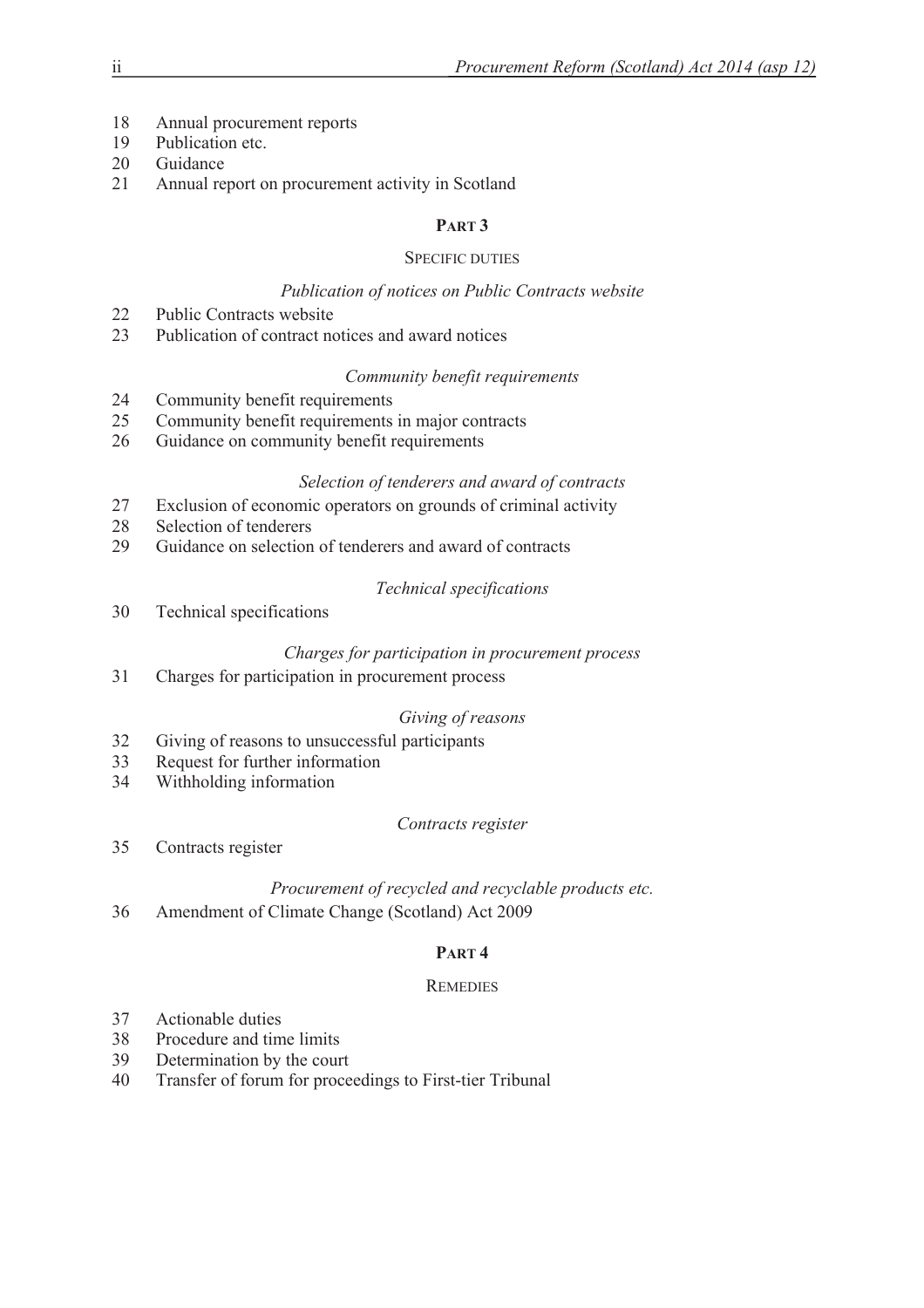- 18 Annual procurement reports
- 19 Publication etc.
- 20 Guidance
- 21 Annual report on procurement activity in Scotland

# **PART 3**

# SPECIFIC DUTIES

# *Publication of notices on Public Contracts website*

- 22 Public Contracts website
- 23 Publication of contract notices and award notices

# *Community benefit requirements*

- 24 Community benefit requirements
- 25 Community benefit requirements in major contracts
- 26 Guidance on community benefit requirements

# *Selection of tenderers and award of contracts*

- 27 Exclusion of economic operators on grounds of criminal activity
- 28 Selection of tenderers
- 29 Guidance on selection of tenderers and award of contracts

# *Technical specifications*

30 Technical specifications

# *Charges for participation in procurement process*

31 Charges for participation in procurement process

# *Giving of reasons*

- 32 Giving of reasons to unsuccessful participants
- 33 Request for further information
- 34 Withholding information

# *Contracts register*

35 Contracts register

# *Procurement of recycled and recyclable products etc.*

36 Amendment of Climate Change (Scotland) Act 2009

# **PART 4**

# **REMEDIES**

- 37 Actionable duties
- 38 Procedure and time limits
- 39 Determination by the court
- 40 Transfer of forum for proceedings to First-tier Tribunal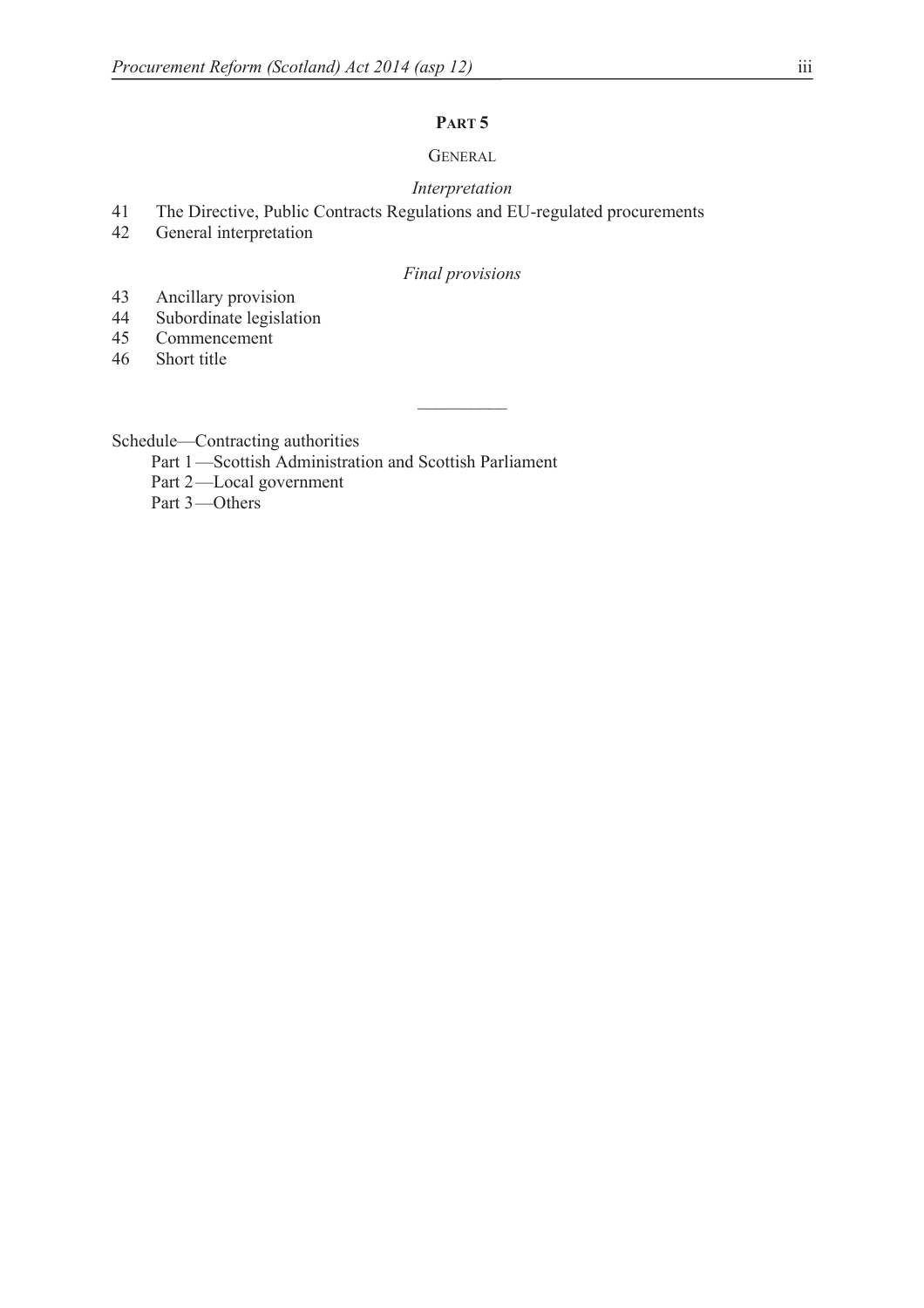# **PART 5**

# **GENERAL**

#### *Interpretation*

- 41 The Directive, Public Contracts Regulations and EU-regulated procurements<br>42 General interpretation
- General interpretation

# *Final provisions*

- 43 Ancillary provision<br>44 Subordinate legislat
- Subordinate legislation
- 45 Commencement
- 46 Short title

Schedule—Contracting authorities

- Part 1-Scottish Administration and Scottish Parliament
- Part 2-Local government

Part 3-Others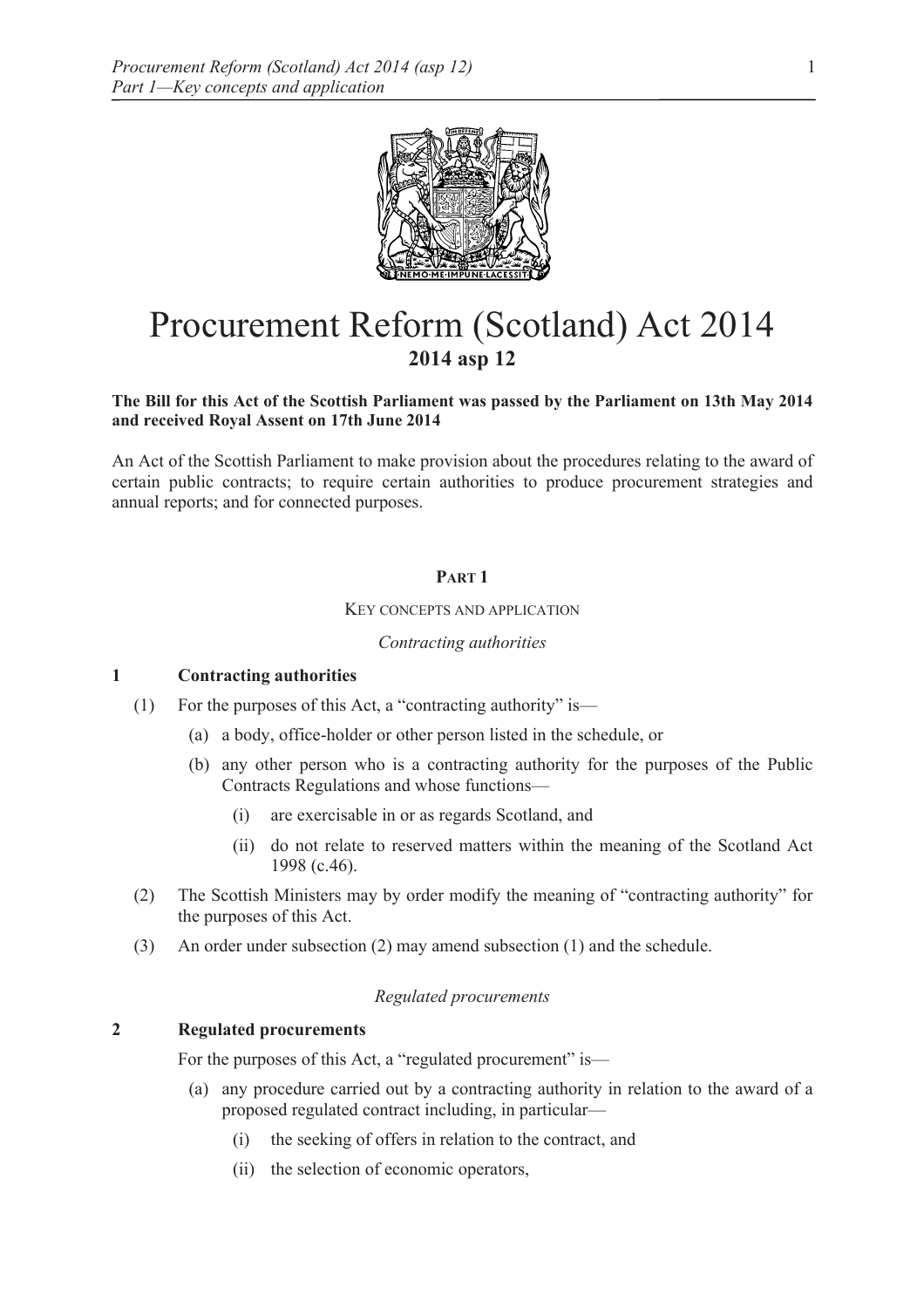

# Procurement Reform (Scotland) Act 2014 **2014 asp 12**

#### **The Bill for this Act of the Scottish Parliament was passed by the Parliament on 13th May 2014 and received Royal Assent on 17th June 2014**

An Act of the Scottish Parliament to make provision about the procedures relating to the award of certain public contracts; to require certain authorities to produce procurement strategies and annual reports; and for connected purposes.

# **PART 1**

#### KEY CONCEPTS AND APPLICATION

#### *Contracting authorities*

#### **1 Contracting authorities**

- (1) For the purposes of this Act, a "contracting authority" is—
	- (a) a body, office-holder or other person listed in the schedule, or
	- (b) any other person who is a contracting authority for the purposes of the Public Contracts Regulations and whose functions—
		- (i) are exercisable in or as regards Scotland, and
		- (ii) do not relate to reserved matters within the meaning of the Scotland Act 1998 (c.46).
- (2) The Scottish Ministers may by order modify the meaning of "contracting authority" for the purposes of this Act.
- (3) An order under subsection (2) may amend subsection (1) and the schedule.

#### *Regulated procurements*

#### **2 Regulated procurements**

For the purposes of this Act, a "regulated procurement" is—

- (a) any procedure carried out by a contracting authority in relation to the award of a proposed regulated contract including, in particular—
	- (i) the seeking of offers in relation to the contract, and
	- (ii) the selection of economic operators,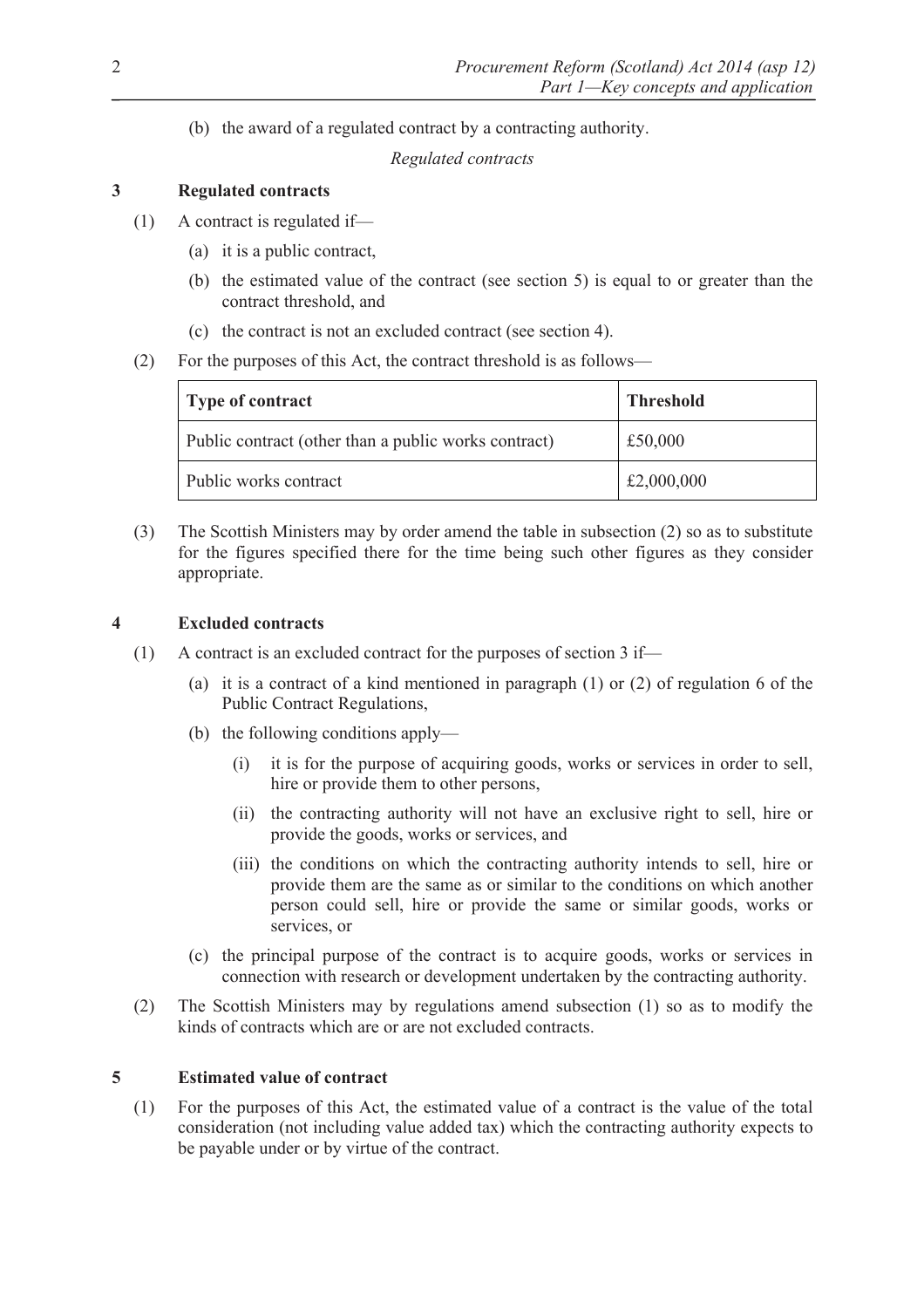(b) the award of a regulated contract by a contracting authority.

*Regulated contracts* 

# **3 Regulated contracts**

- (1) A contract is regulated if—
	- (a) it is a public contract,
	- (b) the estimated value of the contract (see section 5) is equal to or greater than the contract threshold, and
	- (c) the contract is not an excluded contract (see section 4).
- (2) For the purposes of this Act, the contract threshold is as follows—

| Type of contract                                     | <b>Threshold</b> |
|------------------------------------------------------|------------------|
| Public contract (other than a public works contract) | £50,000          |
| Public works contract                                | £2,000,000       |

(3) The Scottish Ministers may by order amend the table in subsection (2) so as to substitute for the figures specified there for the time being such other figures as they consider appropriate.

# **4 Excluded contracts**

- (1) A contract is an excluded contract for the purposes of section 3 if—
	- (a) it is a contract of a kind mentioned in paragraph (1) or (2) of regulation 6 of the Public Contract Regulations,
	- (b) the following conditions apply—
		- (i) it is for the purpose of acquiring goods, works or services in order to sell, hire or provide them to other persons,
		- (ii) the contracting authority will not have an exclusive right to sell, hire or provide the goods, works or services, and
		- (iii) the conditions on which the contracting authority intends to sell, hire or provide them are the same as or similar to the conditions on which another person could sell, hire or provide the same or similar goods, works or services, or
	- (c) the principal purpose of the contract is to acquire goods, works or services in connection with research or development undertaken by the contracting authority.
- (2) The Scottish Ministers may by regulations amend subsection (1) so as to modify the kinds of contracts which are or are not excluded contracts.

# **5 Estimated value of contract**

(1) For the purposes of this Act, the estimated value of a contract is the value of the total consideration (not including value added tax) which the contracting authority expects to be payable under or by virtue of the contract.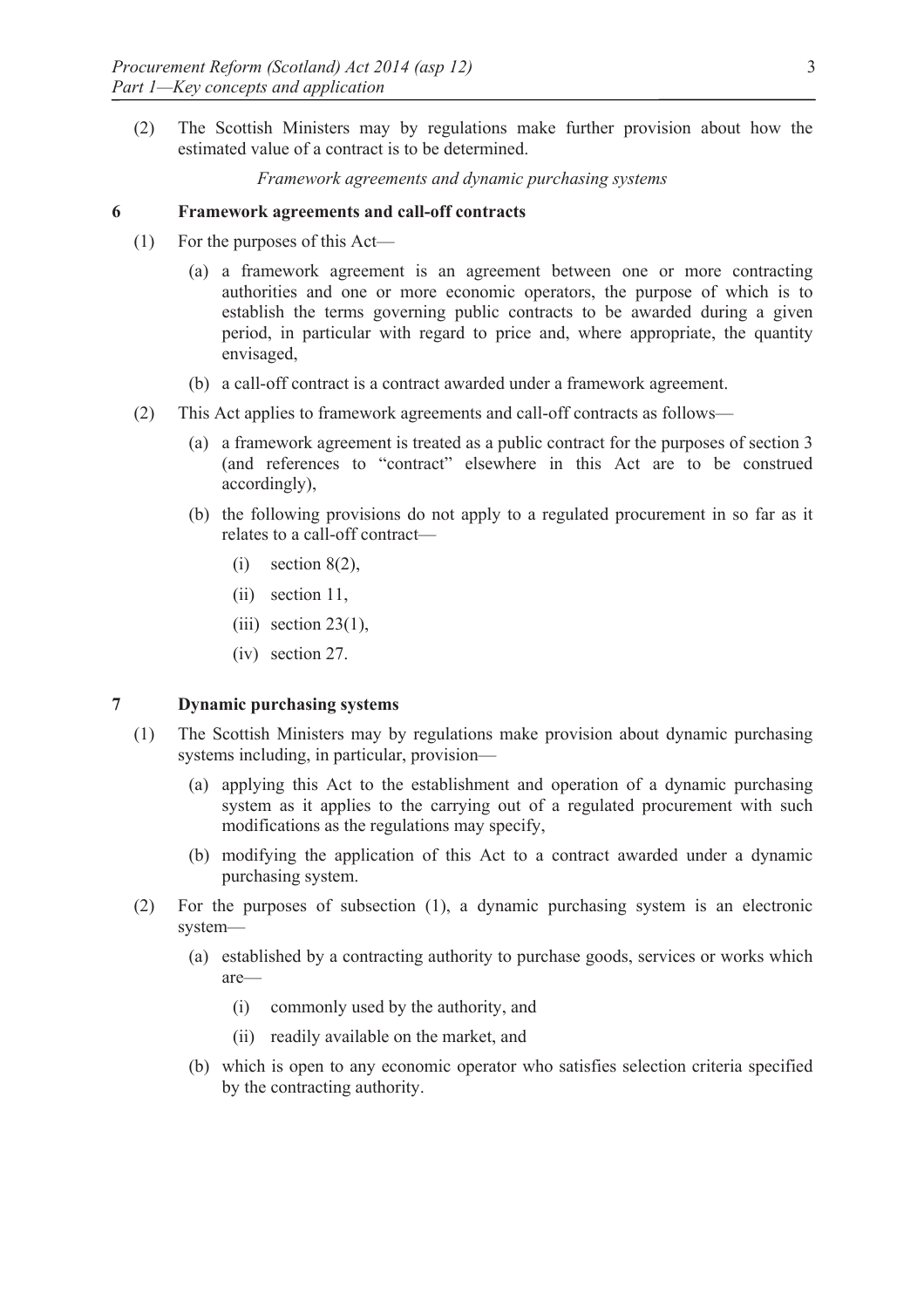(2) The Scottish Ministers may by regulations make further provision about how the estimated value of a contract is to be determined.

*Framework agreements and dynamic purchasing systems* 

#### **6 Framework agreements and call-off contracts**

- (1) For the purposes of this Act—
	- (a) a framework agreement is an agreement between one or more contracting authorities and one or more economic operators, the purpose of which is to establish the terms governing public contracts to be awarded during a given period, in particular with regard to price and, where appropriate, the quantity envisaged,
	- (b) a call-off contract is a contract awarded under a framework agreement.
- (2) This Act applies to framework agreements and call-off contracts as follows—
	- (a) a framework agreement is treated as a public contract for the purposes of section 3 (and references to "contract" elsewhere in this Act are to be construed accordingly),
	- (b) the following provisions do not apply to a regulated procurement in so far as it relates to a call-off contract—
		- $(i)$  section  $8(2)$ ,
		- (ii) section 11,
		- $(iii)$  section 23(1),
		- (iv) section 27.

# **7 Dynamic purchasing systems**

- (1) The Scottish Ministers may by regulations make provision about dynamic purchasing systems including, in particular, provision—
	- (a) applying this Act to the establishment and operation of a dynamic purchasing system as it applies to the carrying out of a regulated procurement with such modifications as the regulations may specify,
	- (b) modifying the application of this Act to a contract awarded under a dynamic purchasing system.
- (2) For the purposes of subsection (1), a dynamic purchasing system is an electronic system—
	- (a) established by a contracting authority to purchase goods, services or works which are—
		- (i) commonly used by the authority, and
		- (ii) readily available on the market, and
	- (b) which is open to any economic operator who satisfies selection criteria specified by the contracting authority.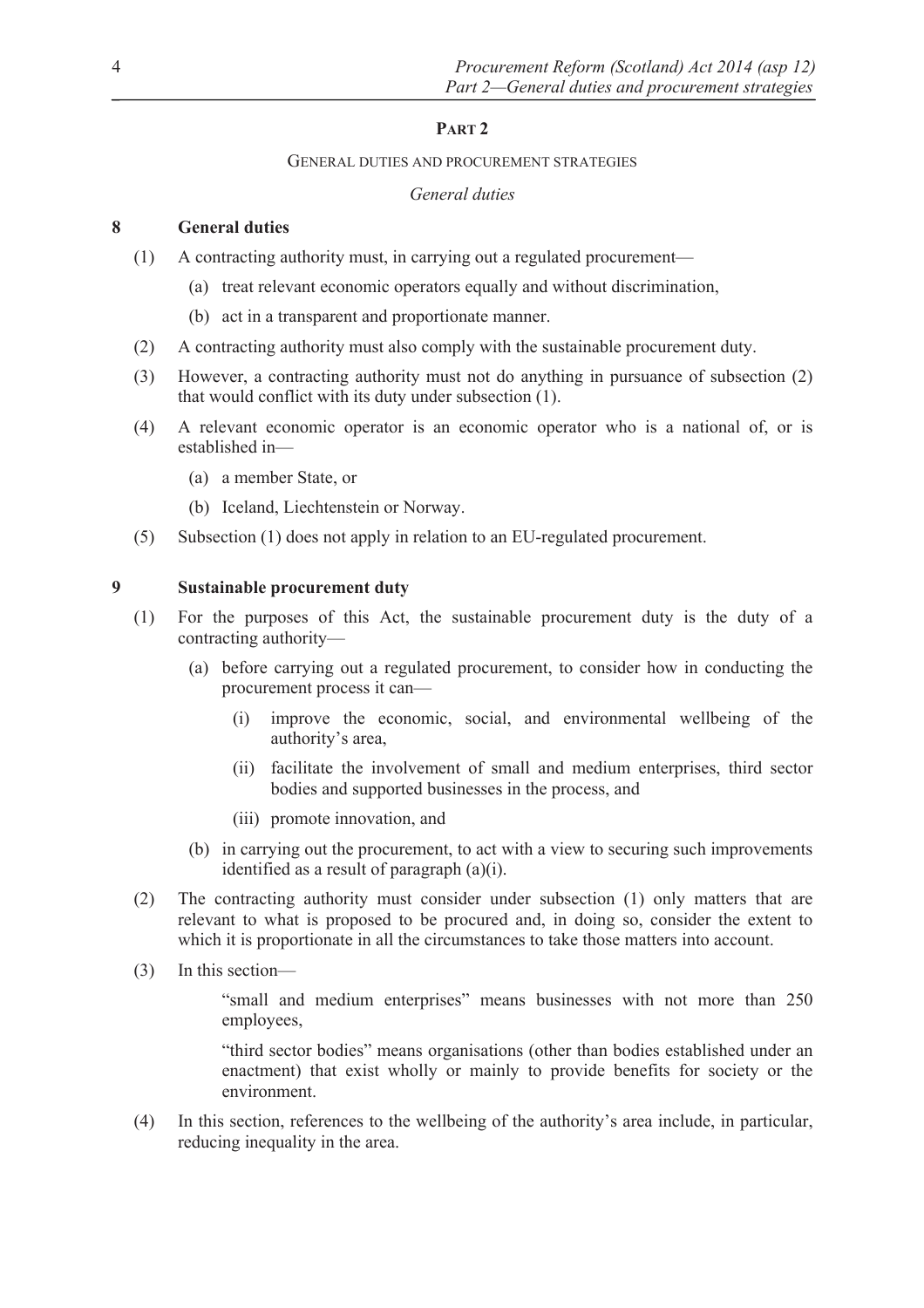# **PART 2**

#### GENERAL DUTIES AND PROCUREMENT STRATEGIES

# *General duties*

# **8 General duties**

- (1) A contracting authority must, in carrying out a regulated procurement—
	- (a) treat relevant economic operators equally and without discrimination,
	- (b) act in a transparent and proportionate manner.
- (2) A contracting authority must also comply with the sustainable procurement duty.
- (3) However, a contracting authority must not do anything in pursuance of subsection (2) that would conflict with its duty under subsection (1).
- (4) A relevant economic operator is an economic operator who is a national of, or is established in—
	- (a) a member State, or
	- (b) Iceland, Liechtenstein or Norway.
- (5) Subsection (1) does not apply in relation to an EU-regulated procurement.

# **9 Sustainable procurement duty**

- (1) For the purposes of this Act, the sustainable procurement duty is the duty of a contracting authority—
	- (a) before carrying out a regulated procurement, to consider how in conducting the procurement process it can—
		- (i) improve the economic, social, and environmental wellbeing of the authority's area,
		- (ii) facilitate the involvement of small and medium enterprises, third sector bodies and supported businesses in the process, and
		- (iii) promote innovation, and
	- (b) in carrying out the procurement, to act with a view to securing such improvements identified as a result of paragraph (a)(i).
- (2) The contracting authority must consider under subsection (1) only matters that are relevant to what is proposed to be procured and, in doing so, consider the extent to which it is proportionate in all the circumstances to take those matters into account.
- (3) In this section—

"small and medium enterprises" means businesses with not more than 250 employees,

"third sector bodies" means organisations (other than bodies established under an enactment) that exist wholly or mainly to provide benefits for society or the environment.

(4) In this section, references to the wellbeing of the authority's area include, in particular, reducing inequality in the area.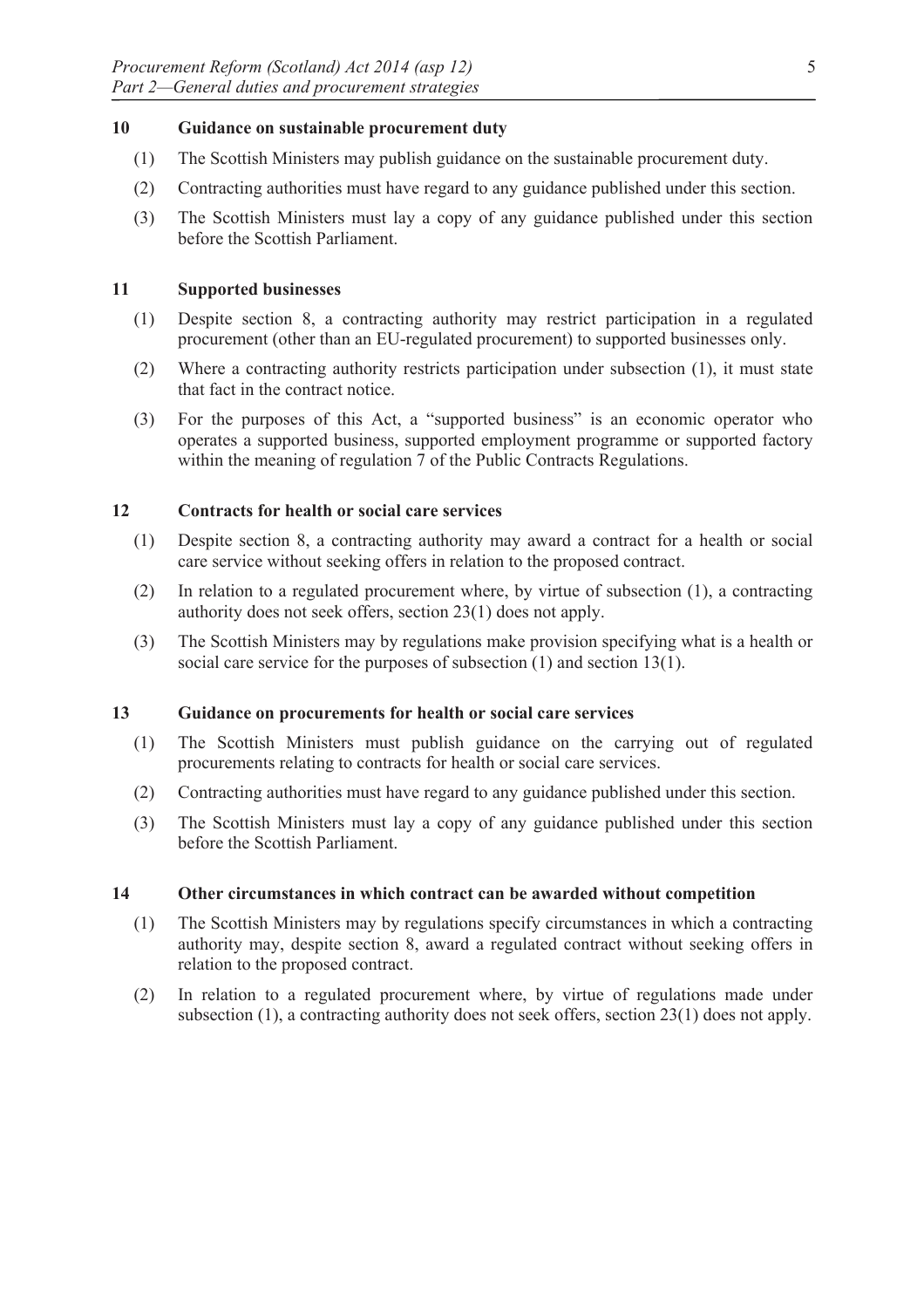# **10 Guidance on sustainable procurement duty**

- (1) The Scottish Ministers may publish guidance on the sustainable procurement duty.
- (2) Contracting authorities must have regard to any guidance published under this section.
- (3) The Scottish Ministers must lay a copy of any guidance published under this section before the Scottish Parliament.

# **11 Supported businesses**

- (1) Despite section 8, a contracting authority may restrict participation in a regulated procurement (other than an EU-regulated procurement) to supported businesses only.
- (2) Where a contracting authority restricts participation under subsection (1), it must state that fact in the contract notice.
- (3) For the purposes of this Act, a "supported business" is an economic operator who operates a supported business, supported employment programme or supported factory within the meaning of regulation 7 of the Public Contracts Regulations.

# **12 Contracts for health or social care services**

- (1) Despite section 8, a contracting authority may award a contract for a health or social care service without seeking offers in relation to the proposed contract.
- (2) In relation to a regulated procurement where, by virtue of subsection (1), a contracting authority does not seek offers, section 23(1) does not apply.
- (3) The Scottish Ministers may by regulations make provision specifying what is a health or social care service for the purposes of subsection (1) and section 13(1).

#### **13 Guidance on procurements for health or social care services**

- (1) The Scottish Ministers must publish guidance on the carrying out of regulated procurements relating to contracts for health or social care services.
- (2) Contracting authorities must have regard to any guidance published under this section.
- (3) The Scottish Ministers must lay a copy of any guidance published under this section before the Scottish Parliament.

#### **14 Other circumstances in which contract can be awarded without competition**

- (1) The Scottish Ministers may by regulations specify circumstances in which a contracting authority may, despite section 8, award a regulated contract without seeking offers in relation to the proposed contract.
- (2) In relation to a regulated procurement where, by virtue of regulations made under subsection (1), a contracting authority does not seek offers, section 23(1) does not apply.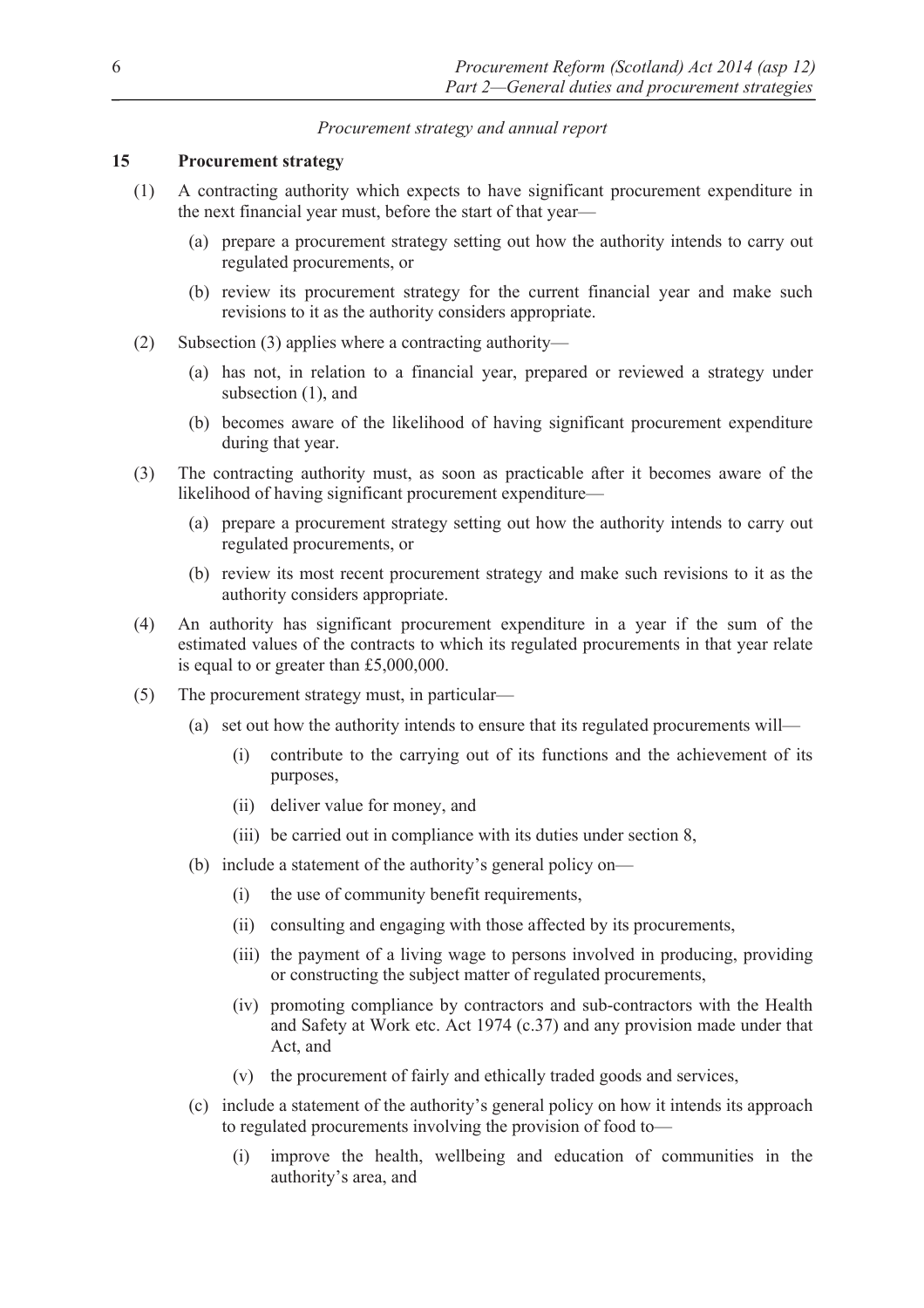# *Procurement strategy and annual report*

## **15 Procurement strategy**

- (1) A contracting authority which expects to have significant procurement expenditure in the next financial year must, before the start of that year—
	- (a) prepare a procurement strategy setting out how the authority intends to carry out regulated procurements, or
	- (b) review its procurement strategy for the current financial year and make such revisions to it as the authority considers appropriate.
- (2) Subsection (3) applies where a contracting authority—
	- (a) has not, in relation to a financial year, prepared or reviewed a strategy under subsection  $(1)$ , and
	- (b) becomes aware of the likelihood of having significant procurement expenditure during that year.
- (3) The contracting authority must, as soon as practicable after it becomes aware of the likelihood of having significant procurement expenditure—
	- (a) prepare a procurement strategy setting out how the authority intends to carry out regulated procurements, or
	- (b) review its most recent procurement strategy and make such revisions to it as the authority considers appropriate.
- (4) An authority has significant procurement expenditure in a year if the sum of the estimated values of the contracts to which its regulated procurements in that year relate is equal to or greater than £5,000,000.
- (5) The procurement strategy must, in particular—
	- (a) set out how the authority intends to ensure that its regulated procurements will—
		- (i) contribute to the carrying out of its functions and the achievement of its purposes,
		- (ii) deliver value for money, and
		- (iii) be carried out in compliance with its duties under section 8,
	- (b) include a statement of the authority's general policy on—
		- (i) the use of community benefit requirements,
		- (ii) consulting and engaging with those affected by its procurements,
		- (iii) the payment of a living wage to persons involved in producing, providing or constructing the subject matter of regulated procurements,
		- (iv) promoting compliance by contractors and sub-contractors with the Health and Safety at Work etc. Act 1974 (c.37) and any provision made under that Act, and
		- (v) the procurement of fairly and ethically traded goods and services,
	- (c) include a statement of the authority's general policy on how it intends its approach to regulated procurements involving the provision of food to—
		- (i) improve the health, wellbeing and education of communities in the authority's area, and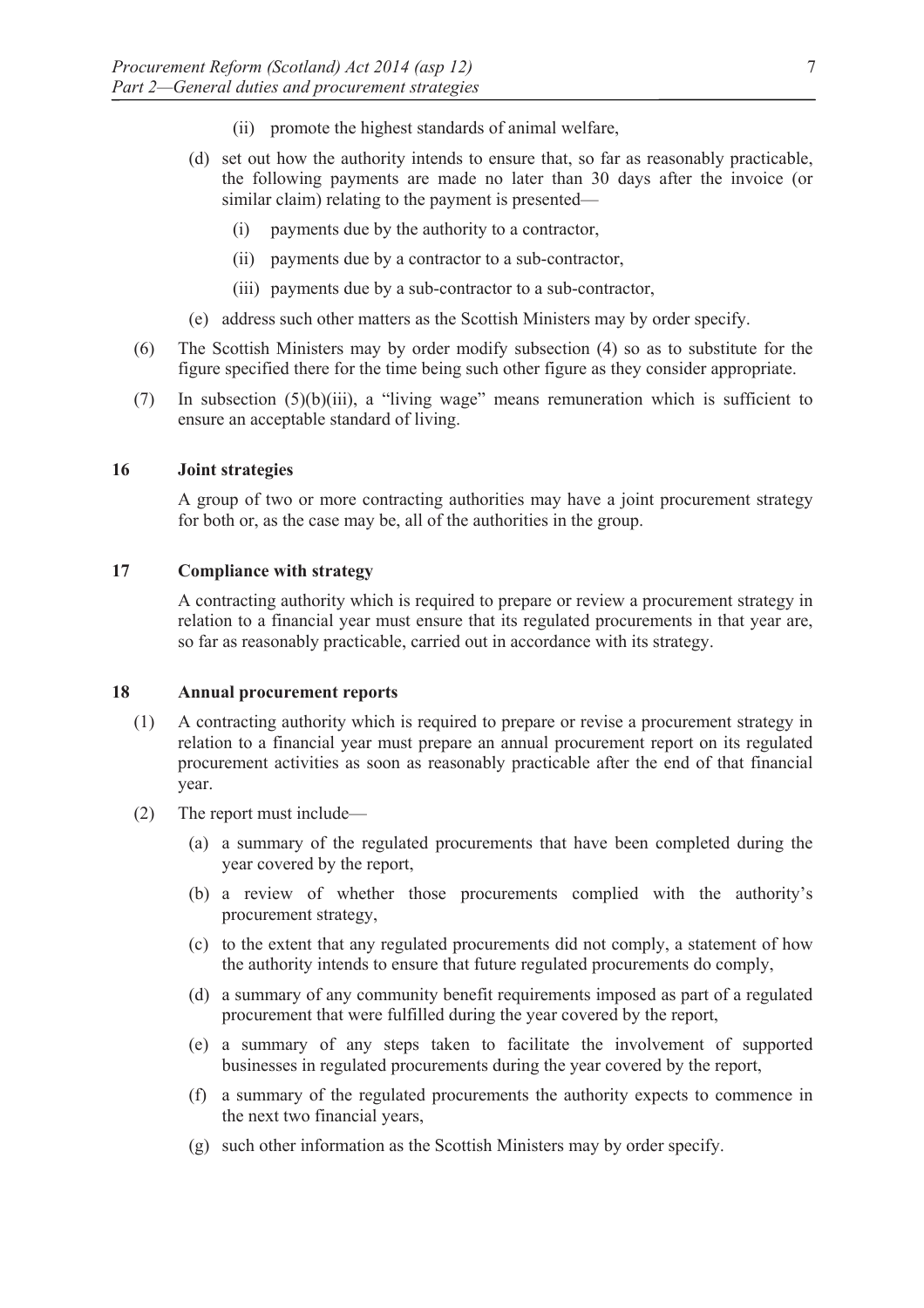- (ii) promote the highest standards of animal welfare,
- (d) set out how the authority intends to ensure that, so far as reasonably practicable, the following payments are made no later than 30 days after the invoice (or similar claim) relating to the payment is presented—
	- (i) payments due by the authority to a contractor,
	- (ii) payments due by a contractor to a sub-contractor,
	- (iii) payments due by a sub-contractor to a sub-contractor,
- (e) address such other matters as the Scottish Ministers may by order specify.
- (6) The Scottish Ministers may by order modify subsection (4) so as to substitute for the figure specified there for the time being such other figure as they consider appropriate.
- (7) In subsection (5)(b)(iii), a "living wage" means remuneration which is sufficient to ensure an acceptable standard of living.

#### **16 Joint strategies**

A group of two or more contracting authorities may have a joint procurement strategy for both or, as the case may be, all of the authorities in the group.

#### **17 Compliance with strategy**

A contracting authority which is required to prepare or review a procurement strategy in relation to a financial year must ensure that its regulated procurements in that year are, so far as reasonably practicable, carried out in accordance with its strategy.

# **18 Annual procurement reports**

- (1) A contracting authority which is required to prepare or revise a procurement strategy in relation to a financial year must prepare an annual procurement report on its regulated procurement activities as soon as reasonably practicable after the end of that financial year.
- (2) The report must include—
	- (a) a summary of the regulated procurements that have been completed during the year covered by the report,
	- (b) a review of whether those procurements complied with the authority's procurement strategy,
	- (c) to the extent that any regulated procurements did not comply, a statement of how the authority intends to ensure that future regulated procurements do comply,
	- (d) a summary of any community benefit requirements imposed as part of a regulated procurement that were fulfilled during the year covered by the report,
	- (e) a summary of any steps taken to facilitate the involvement of supported businesses in regulated procurements during the year covered by the report,
	- (f) a summary of the regulated procurements the authority expects to commence in the next two financial years,
	- (g) such other information as the Scottish Ministers may by order specify.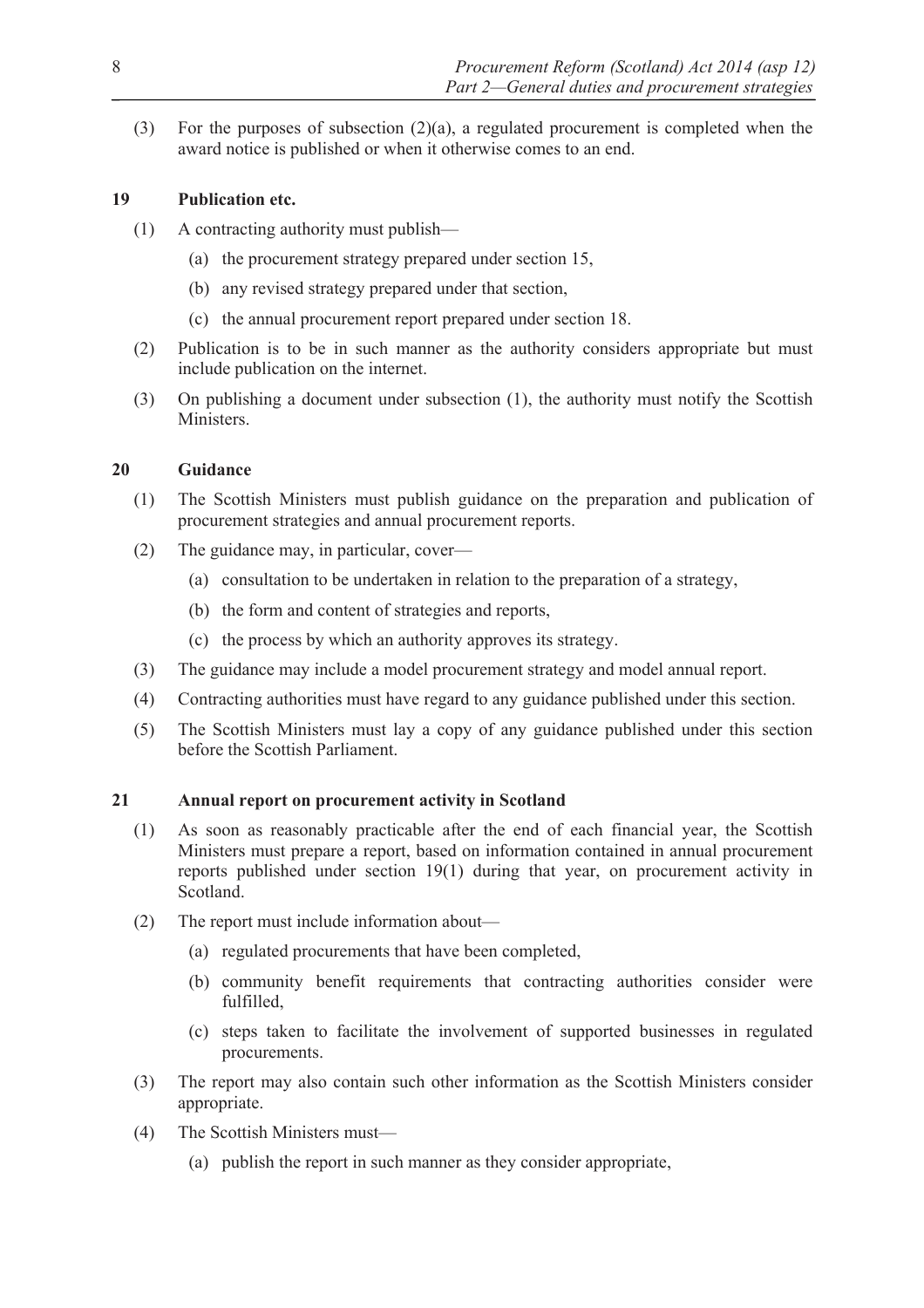(3) For the purposes of subsection  $(2)(a)$ , a regulated procurement is completed when the award notice is published or when it otherwise comes to an end.

# **19 Publication etc.**

- (1) A contracting authority must publish—
	- (a) the procurement strategy prepared under section 15,
	- (b) any revised strategy prepared under that section,
	- (c) the annual procurement report prepared under section 18.
- (2) Publication is to be in such manner as the authority considers appropriate but must include publication on the internet.
- (3) On publishing a document under subsection (1), the authority must notify the Scottish **Ministers**

# **20 Guidance**

- (1) The Scottish Ministers must publish guidance on the preparation and publication of procurement strategies and annual procurement reports.
- (2) The guidance may, in particular, cover—
	- (a) consultation to be undertaken in relation to the preparation of a strategy,
	- (b) the form and content of strategies and reports,
	- (c) the process by which an authority approves its strategy.
- (3) The guidance may include a model procurement strategy and model annual report.
- (4) Contracting authorities must have regard to any guidance published under this section.
- (5) The Scottish Ministers must lay a copy of any guidance published under this section before the Scottish Parliament.

# **21 Annual report on procurement activity in Scotland**

- (1) As soon as reasonably practicable after the end of each financial year, the Scottish Ministers must prepare a report, based on information contained in annual procurement reports published under section 19(1) during that year, on procurement activity in Scotland.
- (2) The report must include information about—
	- (a) regulated procurements that have been completed,
	- (b) community benefit requirements that contracting authorities consider were fulfilled,
	- (c) steps taken to facilitate the involvement of supported businesses in regulated procurements.
- (3) The report may also contain such other information as the Scottish Ministers consider appropriate.
- (4) The Scottish Ministers must—
	- (a) publish the report in such manner as they consider appropriate,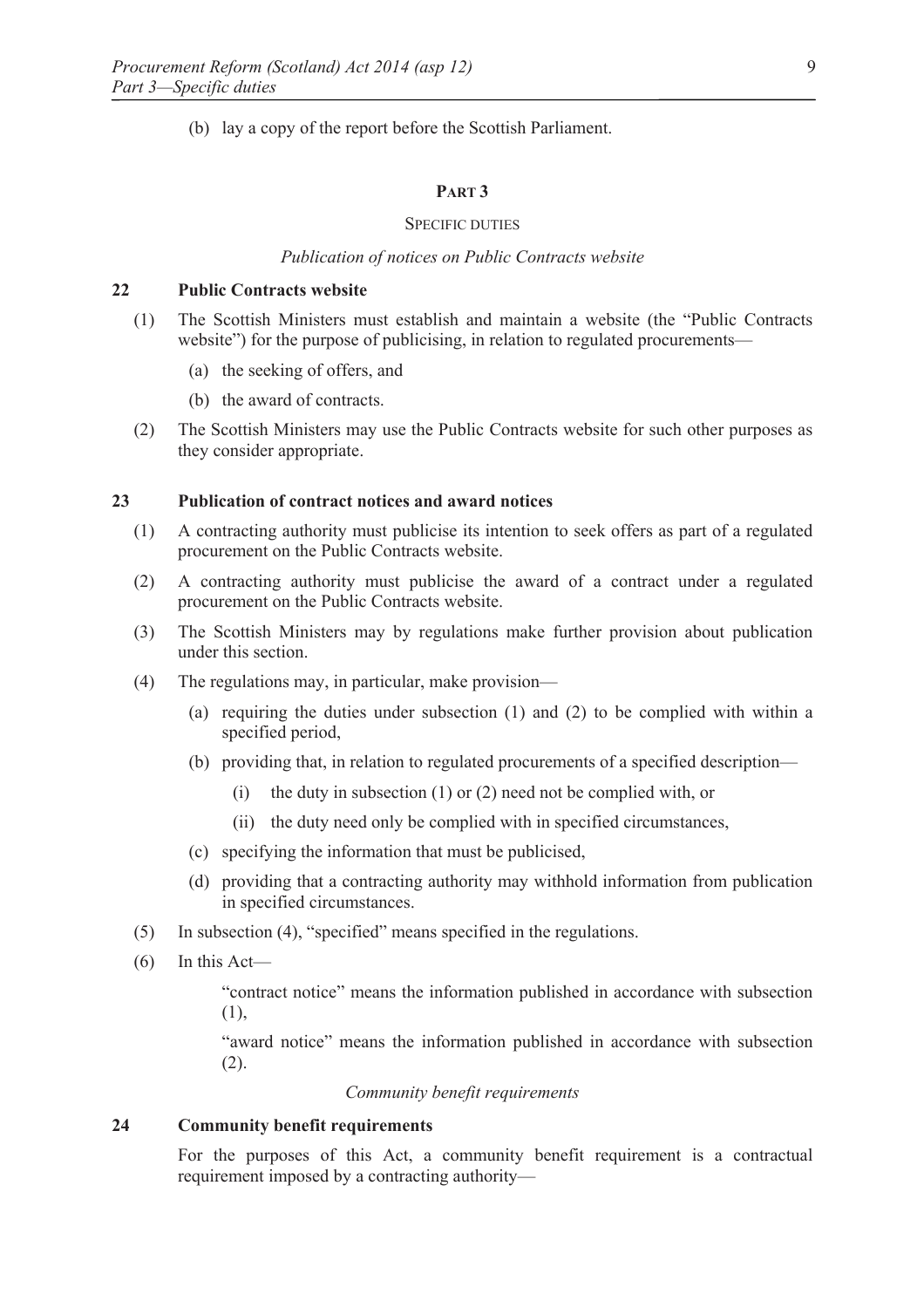(b) lay a copy of the report before the Scottish Parliament.

#### **PART 3**

#### SPECIFIC DUTIES

#### *Publication of notices on Public Contracts website*

# **22 Public Contracts website**

- (1) The Scottish Ministers must establish and maintain a website (the "Public Contracts website") for the purpose of publicising, in relation to regulated procurements—
	- (a) the seeking of offers, and
	- (b) the award of contracts.
- (2) The Scottish Ministers may use the Public Contracts website for such other purposes as they consider appropriate.

# **23 Publication of contract notices and award notices**

- (1) A contracting authority must publicise its intention to seek offers as part of a regulated procurement on the Public Contracts website.
- (2) A contracting authority must publicise the award of a contract under a regulated procurement on the Public Contracts website.
- (3) The Scottish Ministers may by regulations make further provision about publication under this section.
- (4) The regulations may, in particular, make provision—
	- (a) requiring the duties under subsection (1) and (2) to be complied with within a specified period,
	- (b) providing that, in relation to regulated procurements of a specified description—
		- (i) the duty in subsection (1) or (2) need not be complied with, or
		- (ii) the duty need only be complied with in specified circumstances,
	- (c) specifying the information that must be publicised,
	- (d) providing that a contracting authority may withhold information from publication in specified circumstances.
- (5) In subsection (4), "specified" means specified in the regulations.
- $(6)$  In this Act—

"contract notice" means the information published in accordance with subsection (1),

"award notice" means the information published in accordance with subsection (2).

#### *Community benefit requirements*

#### **24 Community benefit requirements**

For the purposes of this Act, a community benefit requirement is a contractual requirement imposed by a contracting authority—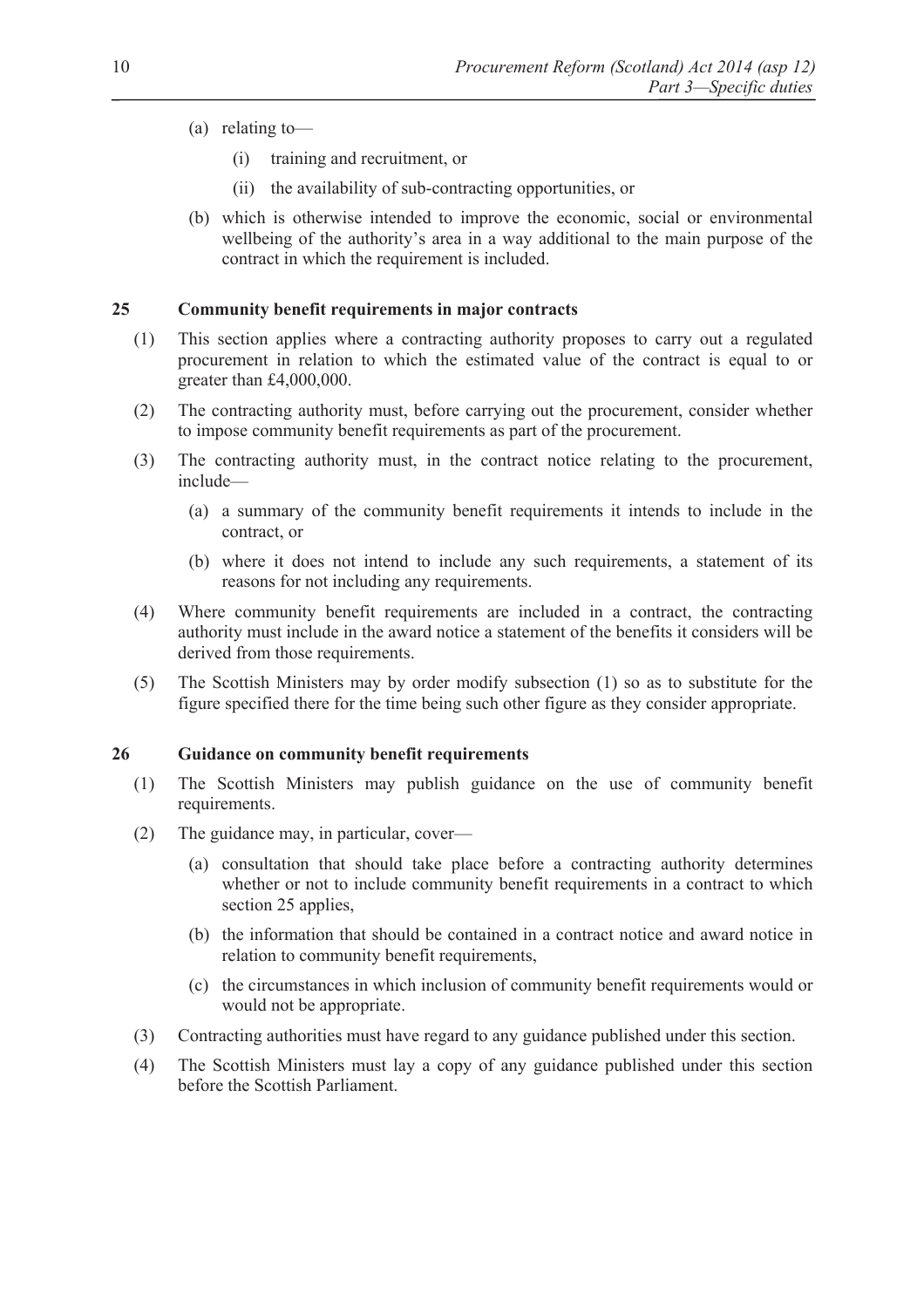- (a) relating to—
	- (i) training and recruitment, or
	- (ii) the availability of sub-contracting opportunities, or
- (b) which is otherwise intended to improve the economic, social or environmental wellbeing of the authority's area in a way additional to the main purpose of the contract in which the requirement is included.

# **25 Community benefit requirements in major contracts**

- (1) This section applies where a contracting authority proposes to carry out a regulated procurement in relation to which the estimated value of the contract is equal to or greater than £4,000,000.
- (2) The contracting authority must, before carrying out the procurement, consider whether to impose community benefit requirements as part of the procurement.
- (3) The contracting authority must, in the contract notice relating to the procurement, include—
	- (a) a summary of the community benefit requirements it intends to include in the contract, or
	- (b) where it does not intend to include any such requirements, a statement of its reasons for not including any requirements.
- (4) Where community benefit requirements are included in a contract, the contracting authority must include in the award notice a statement of the benefits it considers will be derived from those requirements.
- (5) The Scottish Ministers may by order modify subsection (1) so as to substitute for the figure specified there for the time being such other figure as they consider appropriate.

#### **26 Guidance on community benefit requirements**

- (1) The Scottish Ministers may publish guidance on the use of community benefit requirements.
- (2) The guidance may, in particular, cover—
	- (a) consultation that should take place before a contracting authority determines whether or not to include community benefit requirements in a contract to which section 25 applies,
	- (b) the information that should be contained in a contract notice and award notice in relation to community benefit requirements,
	- (c) the circumstances in which inclusion of community benefit requirements would or would not be appropriate.
- (3) Contracting authorities must have regard to any guidance published under this section.
- (4) The Scottish Ministers must lay a copy of any guidance published under this section before the Scottish Parliament.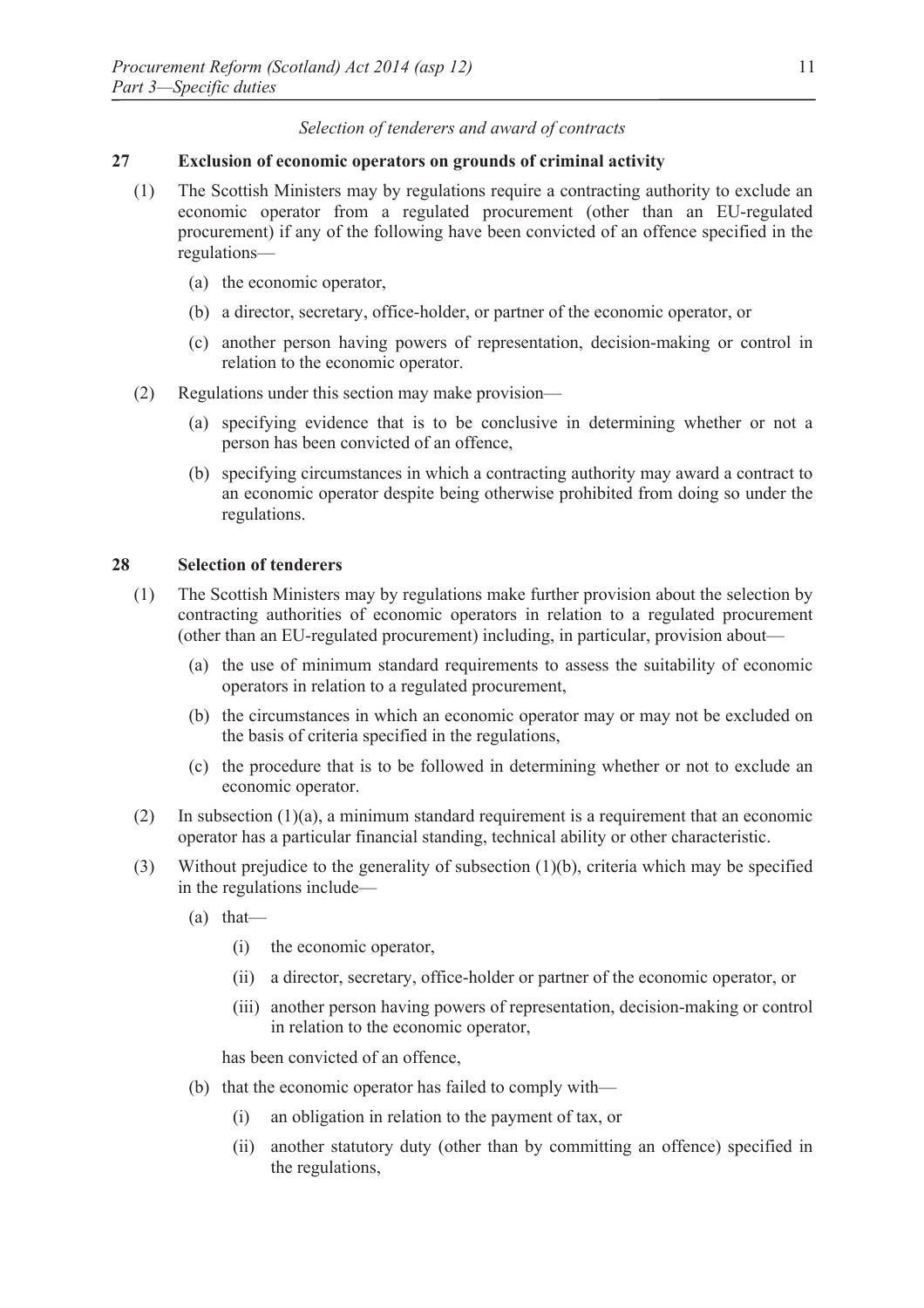# *Selection of tenderers and award of contracts*

#### **27 Exclusion of economic operators on grounds of criminal activity**

- (1) The Scottish Ministers may by regulations require a contracting authority to exclude an economic operator from a regulated procurement (other than an EU-regulated procurement) if any of the following have been convicted of an offence specified in the regulations—
	- (a) the economic operator,
	- (b) a director, secretary, office-holder, or partner of the economic operator, or
	- (c) another person having powers of representation, decision-making or control in relation to the economic operator.
- (2) Regulations under this section may make provision—
	- (a) specifying evidence that is to be conclusive in determining whether or not a person has been convicted of an offence,
	- (b) specifying circumstances in which a contracting authority may award a contract to an economic operator despite being otherwise prohibited from doing so under the regulations.

#### **28 Selection of tenderers**

- (1) The Scottish Ministers may by regulations make further provision about the selection by contracting authorities of economic operators in relation to a regulated procurement (other than an EU-regulated procurement) including, in particular, provision about—
	- (a) the use of minimum standard requirements to assess the suitability of economic operators in relation to a regulated procurement,
	- (b) the circumstances in which an economic operator may or may not be excluded on the basis of criteria specified in the regulations,
	- (c) the procedure that is to be followed in determining whether or not to exclude an economic operator.
- (2) In subsection (1)(a), a minimum standard requirement is a requirement that an economic operator has a particular financial standing, technical ability or other characteristic.
- (3) Without prejudice to the generality of subsection (1)(b), criteria which may be specified in the regulations include—
	- (a) that—
		- (i) the economic operator,
		- (ii) a director, secretary, office-holder or partner of the economic operator, or
		- (iii) another person having powers of representation, decision-making or control in relation to the economic operator,

has been convicted of an offence,

- (b) that the economic operator has failed to comply with—
	- (i) an obligation in relation to the payment of tax, or
	- (ii) another statutory duty (other than by committing an offence) specified in the regulations,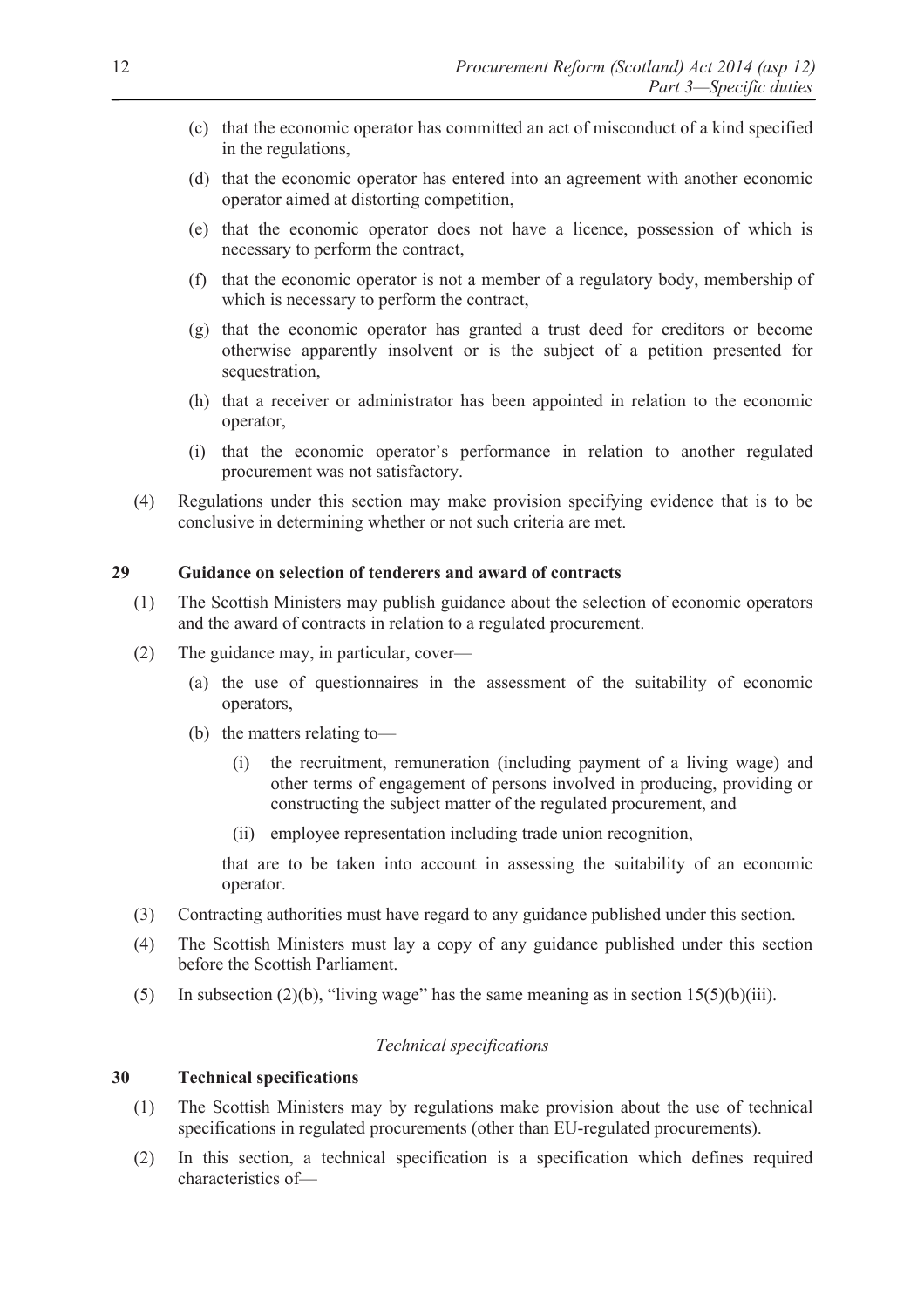- (c) that the economic operator has committed an act of misconduct of a kind specified in the regulations,
- (d) that the economic operator has entered into an agreement with another economic operator aimed at distorting competition,
- (e) that the economic operator does not have a licence, possession of which is necessary to perform the contract,
- (f) that the economic operator is not a member of a regulatory body, membership of which is necessary to perform the contract,
- (g) that the economic operator has granted a trust deed for creditors or become otherwise apparently insolvent or is the subject of a petition presented for sequestration.
- (h) that a receiver or administrator has been appointed in relation to the economic operator,
- (i) that the economic operator's performance in relation to another regulated procurement was not satisfactory.
- (4) Regulations under this section may make provision specifying evidence that is to be conclusive in determining whether or not such criteria are met.

# **29 Guidance on selection of tenderers and award of contracts**

- (1) The Scottish Ministers may publish guidance about the selection of economic operators and the award of contracts in relation to a regulated procurement.
- (2) The guidance may, in particular, cover—
	- (a) the use of questionnaires in the assessment of the suitability of economic operators,
	- (b) the matters relating to—
		- (i) the recruitment, remuneration (including payment of a living wage) and other terms of engagement of persons involved in producing, providing or constructing the subject matter of the regulated procurement, and
		- (ii) employee representation including trade union recognition,

that are to be taken into account in assessing the suitability of an economic operator.

- (3) Contracting authorities must have regard to any guidance published under this section.
- (4) The Scottish Ministers must lay a copy of any guidance published under this section before the Scottish Parliament.
- (5) In subsection (2)(b), "living wage" has the same meaning as in section  $15(5)(b)(iii)$ .

#### *Technical specifications*

# **30 Technical specifications**

- (1) The Scottish Ministers may by regulations make provision about the use of technical specifications in regulated procurements (other than EU-regulated procurements).
- (2) In this section, a technical specification is a specification which defines required characteristics of—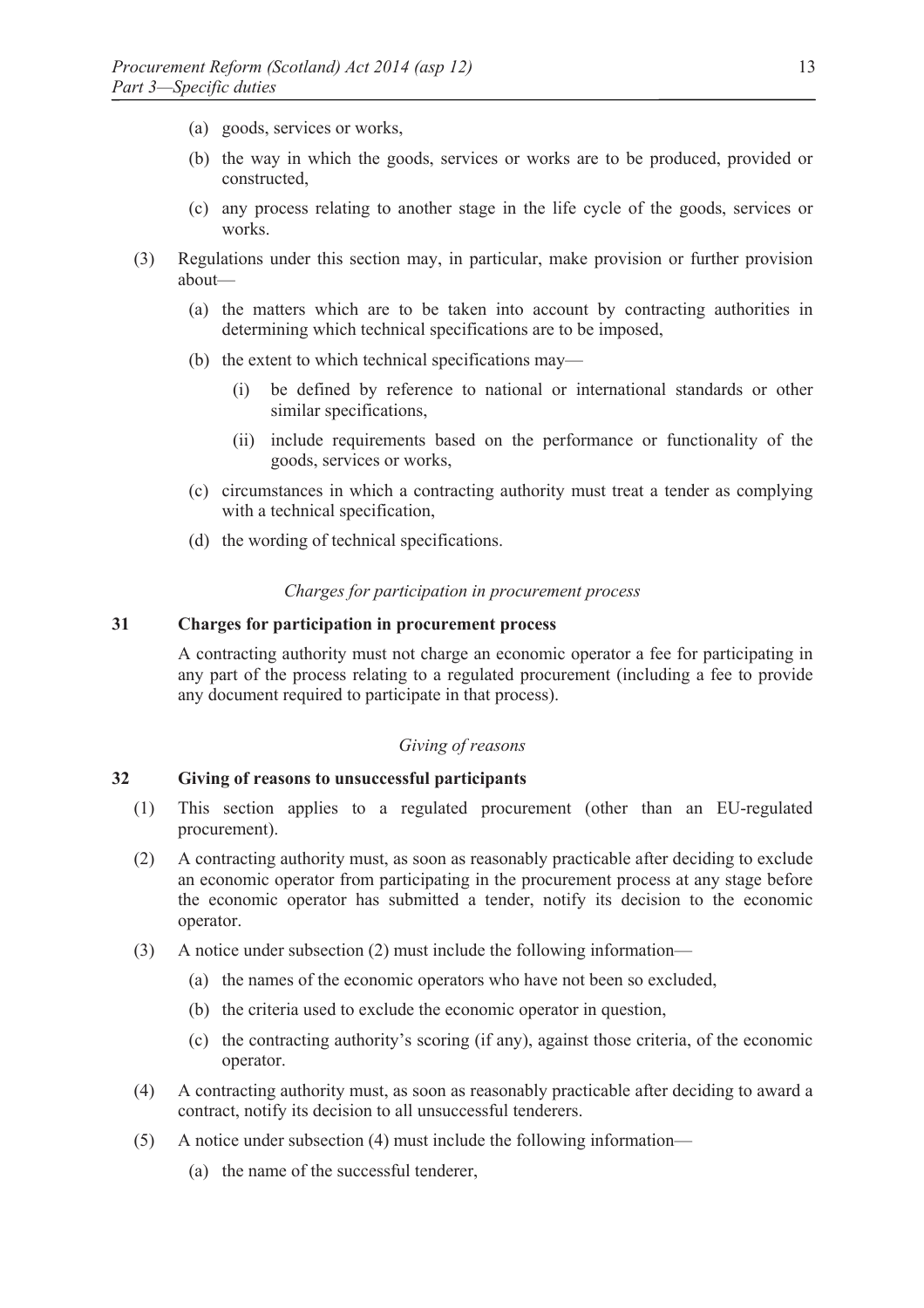- (a) goods, services or works,
- (b) the way in which the goods, services or works are to be produced, provided or constructed,
- (c) any process relating to another stage in the life cycle of the goods, services or works.
- (3) Regulations under this section may, in particular, make provision or further provision about—
	- (a) the matters which are to be taken into account by contracting authorities in determining which technical specifications are to be imposed,
	- (b) the extent to which technical specifications may—
		- (i) be defined by reference to national or international standards or other similar specifications,
		- (ii) include requirements based on the performance or functionality of the goods, services or works,
	- (c) circumstances in which a contracting authority must treat a tender as complying with a technical specification,
	- (d) the wording of technical specifications.

#### *Charges for participation in procurement process*

#### **31 Charges for participation in procurement process**

A contracting authority must not charge an economic operator a fee for participating in any part of the process relating to a regulated procurement (including a fee to provide any document required to participate in that process).

#### *Giving of reasons*

# **32 Giving of reasons to unsuccessful participants**

- (1) This section applies to a regulated procurement (other than an EU-regulated procurement).
- (2) A contracting authority must, as soon as reasonably practicable after deciding to exclude an economic operator from participating in the procurement process at any stage before the economic operator has submitted a tender, notify its decision to the economic operator.
- (3) A notice under subsection (2) must include the following information—
	- (a) the names of the economic operators who have not been so excluded,
	- (b) the criteria used to exclude the economic operator in question,
	- (c) the contracting authority's scoring (if any), against those criteria, of the economic operator.
- (4) A contracting authority must, as soon as reasonably practicable after deciding to award a contract, notify its decision to all unsuccessful tenderers.
- (5) A notice under subsection (4) must include the following information—
	- (a) the name of the successful tenderer,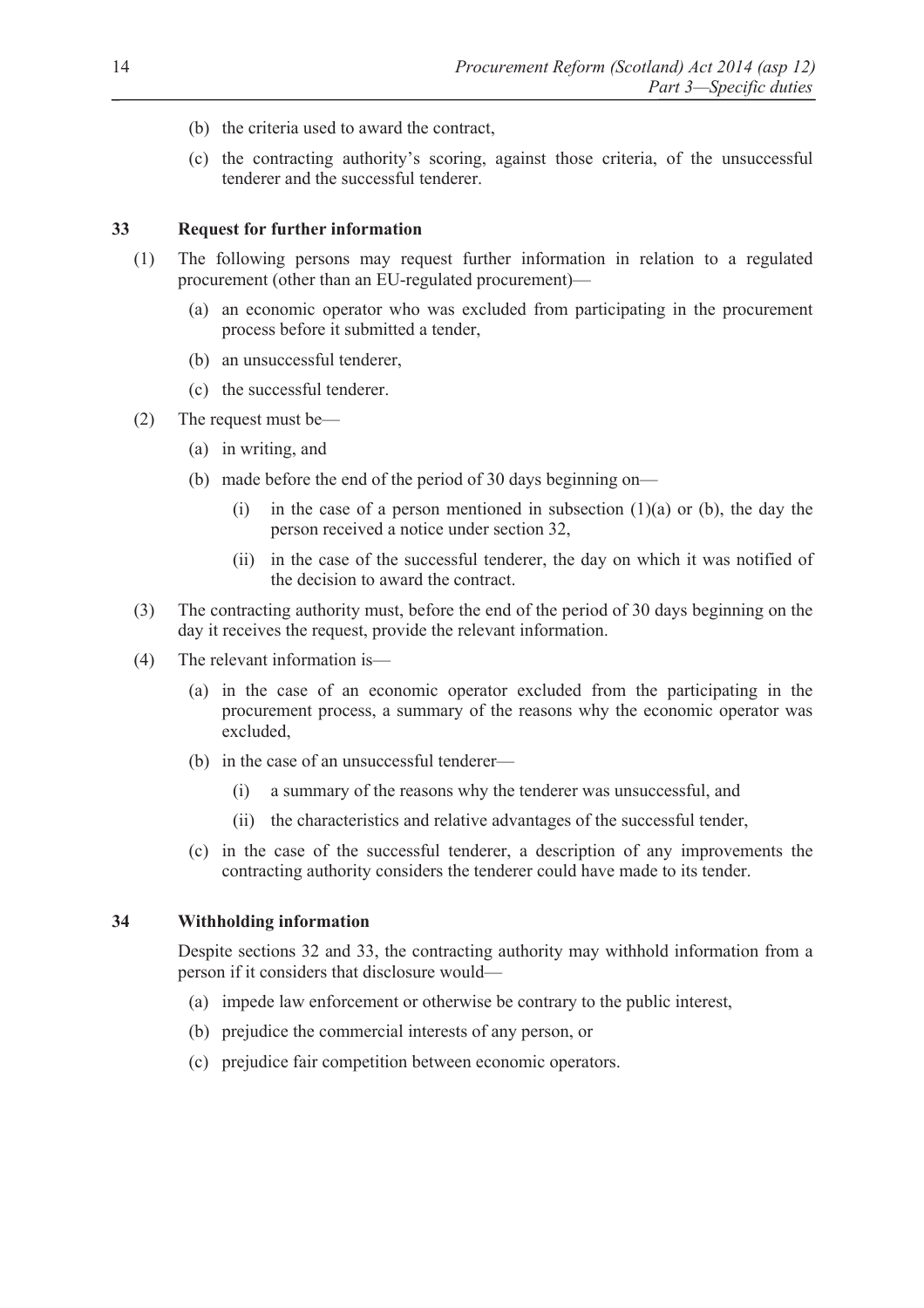- (b) the criteria used to award the contract,
- (c) the contracting authority's scoring, against those criteria, of the unsuccessful tenderer and the successful tenderer.

#### **33 Request for further information**

- (1) The following persons may request further information in relation to a regulated procurement (other than an EU-regulated procurement)—
	- (a) an economic operator who was excluded from participating in the procurement process before it submitted a tender,
	- (b) an unsuccessful tenderer,
	- (c) the successful tenderer.
- (2) The request must be—
	- (a) in writing, and
	- (b) made before the end of the period of 30 days beginning on—
		- (i) in the case of a person mentioned in subsection  $(1)(a)$  or (b), the day the person received a notice under section 32,
		- (ii) in the case of the successful tenderer, the day on which it was notified of the decision to award the contract.
- (3) The contracting authority must, before the end of the period of 30 days beginning on the day it receives the request, provide the relevant information.
- (4) The relevant information is—
	- (a) in the case of an economic operator excluded from the participating in the procurement process, a summary of the reasons why the economic operator was excluded,
	- (b) in the case of an unsuccessful tenderer—
		- (i) a summary of the reasons why the tenderer was unsuccessful, and
		- (ii) the characteristics and relative advantages of the successful tender,
	- (c) in the case of the successful tenderer, a description of any improvements the contracting authority considers the tenderer could have made to its tender.

#### **34 Withholding information**

Despite sections 32 and 33, the contracting authority may withhold information from a person if it considers that disclosure would—

- (a) impede law enforcement or otherwise be contrary to the public interest,
- (b) prejudice the commercial interests of any person, or
- (c) prejudice fair competition between economic operators.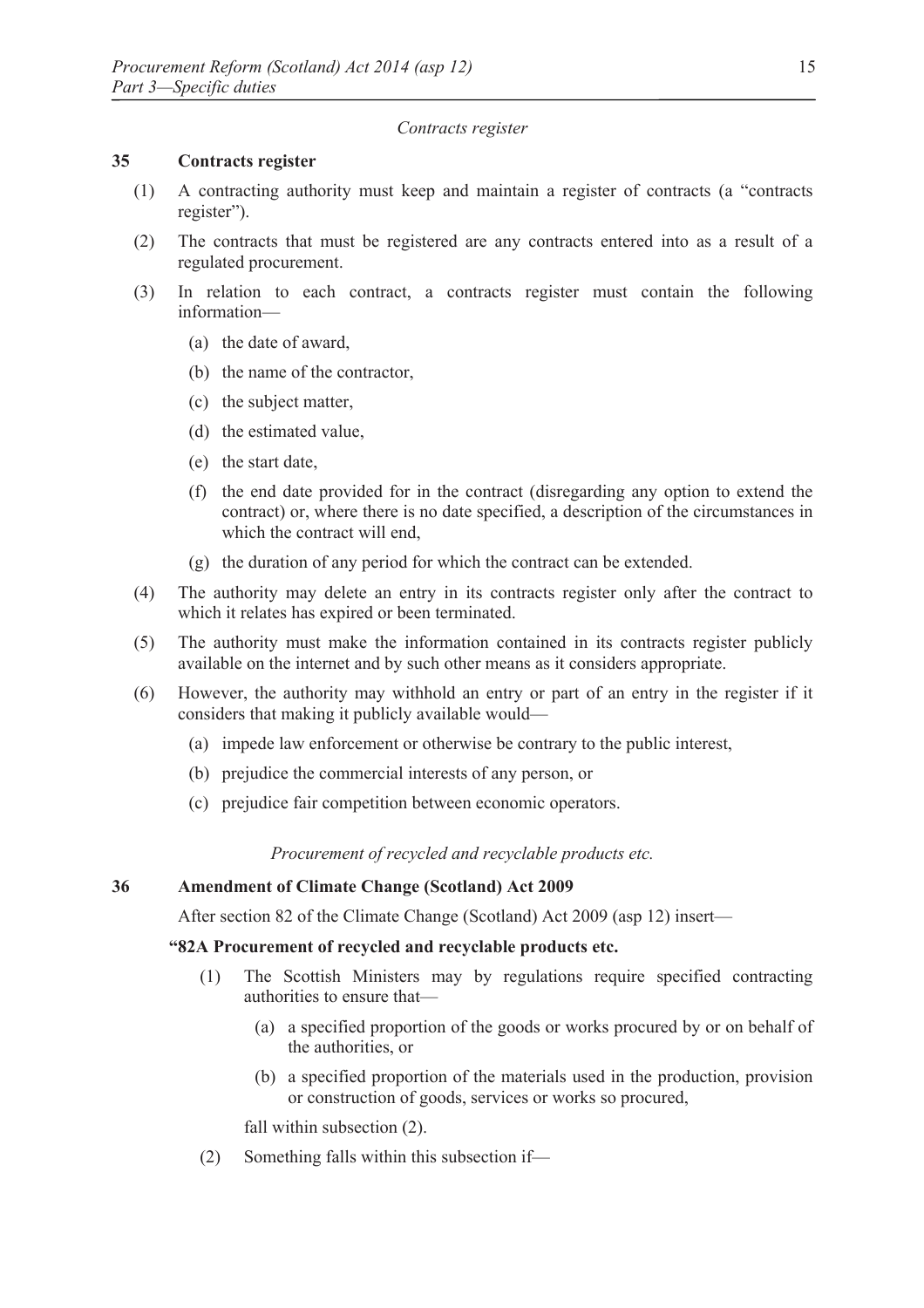#### *Contracts register*

# **35 Contracts register**

- (1) A contracting authority must keep and maintain a register of contracts (a "contracts register").
- (2) The contracts that must be registered are any contracts entered into as a result of a regulated procurement.
- (3) In relation to each contract, a contracts register must contain the following information—
	- (a) the date of award,
	- (b) the name of the contractor,
	- (c) the subject matter,
	- (d) the estimated value,
	- (e) the start date,
	- (f) the end date provided for in the contract (disregarding any option to extend the contract) or, where there is no date specified, a description of the circumstances in which the contract will end,
	- (g) the duration of any period for which the contract can be extended.
- (4) The authority may delete an entry in its contracts register only after the contract to which it relates has expired or been terminated.
- (5) The authority must make the information contained in its contracts register publicly available on the internet and by such other means as it considers appropriate.
- (6) However, the authority may withhold an entry or part of an entry in the register if it considers that making it publicly available would—
	- (a) impede law enforcement or otherwise be contrary to the public interest,
	- (b) prejudice the commercial interests of any person, or
	- (c) prejudice fair competition between economic operators.

*Procurement of recycled and recyclable products etc.* 

# **36 Amendment of Climate Change (Scotland) Act 2009**

After section 82 of the Climate Change (Scotland) Act 2009 (asp 12) insert—

# **"82A Procurement of recycled and recyclable products etc.**

- (1) The Scottish Ministers may by regulations require specified contracting authorities to ensure that—
	- (a) a specified proportion of the goods or works procured by or on behalf of the authorities, or
	- (b) a specified proportion of the materials used in the production, provision or construction of goods, services or works so procured,

fall within subsection (2).

(2) Something falls within this subsection if—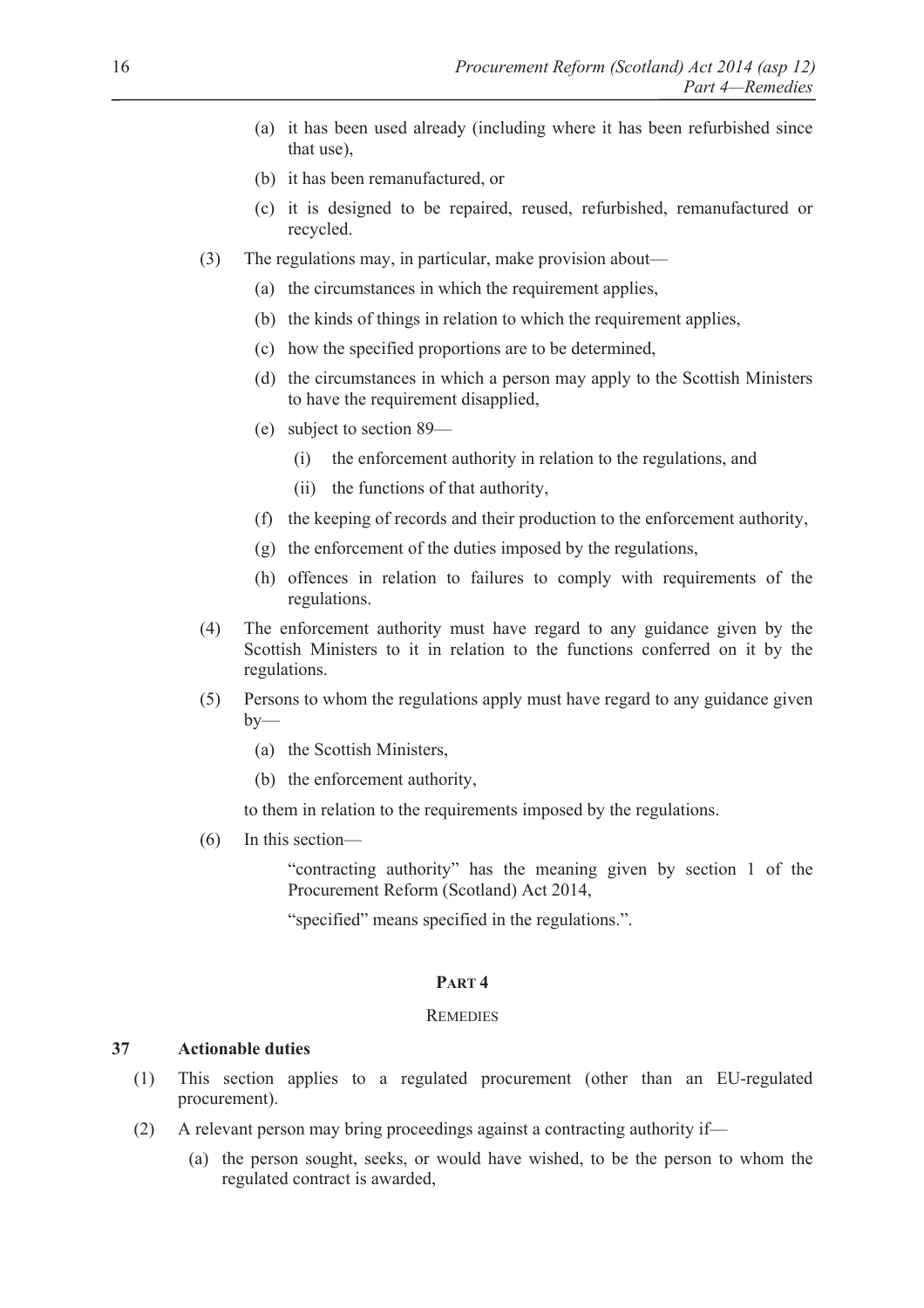- (a) it has been used already (including where it has been refurbished since that use),
- (b) it has been remanufactured, or
- (c) it is designed to be repaired, reused, refurbished, remanufactured or recycled.
- (3) The regulations may, in particular, make provision about—
	- (a) the circumstances in which the requirement applies,
	- (b) the kinds of things in relation to which the requirement applies,
	- (c) how the specified proportions are to be determined,
	- (d) the circumstances in which a person may apply to the Scottish Ministers to have the requirement disapplied,
	- (e) subject to section 89—
		- (i) the enforcement authority in relation to the regulations, and
		- (ii) the functions of that authority,
	- (f) the keeping of records and their production to the enforcement authority,
	- (g) the enforcement of the duties imposed by the regulations,
	- (h) offences in relation to failures to comply with requirements of the regulations.
- (4) The enforcement authority must have regard to any guidance given by the Scottish Ministers to it in relation to the functions conferred on it by the regulations.
- (5) Persons to whom the regulations apply must have regard to any guidance given  $by-$ 
	- (a) the Scottish Ministers,
	- (b) the enforcement authority,

to them in relation to the requirements imposed by the regulations.

(6) In this section—

 "contracting authority" has the meaning given by section 1 of the Procurement Reform (Scotland) Act 2014,

"specified" means specified in the regulations.".

#### **PART 4**

#### **REMEDIES**

# **37 Actionable duties**

- (1) This section applies to a regulated procurement (other than an EU-regulated procurement).
- (2) A relevant person may bring proceedings against a contracting authority if—
	- (a) the person sought, seeks, or would have wished, to be the person to whom the regulated contract is awarded,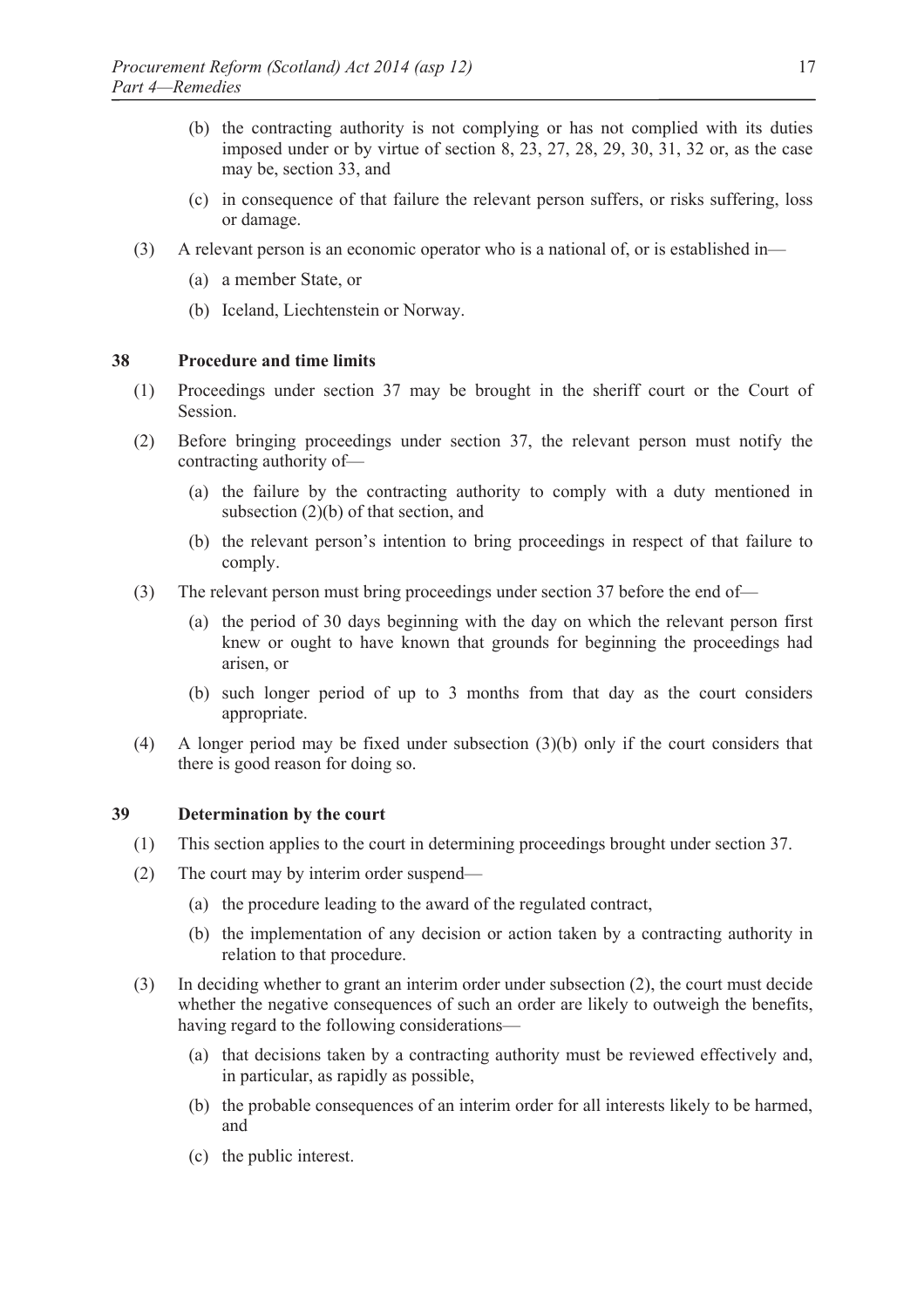- (b) the contracting authority is not complying or has not complied with its duties imposed under or by virtue of section 8, 23, 27, 28, 29, 30, 31, 32 or, as the case may be, section 33, and
- (c) in consequence of that failure the relevant person suffers, or risks suffering, loss or damage.
- (3) A relevant person is an economic operator who is a national of, or is established in—
	- (a) a member State, or
	- (b) Iceland, Liechtenstein or Norway.

## **38 Procedure and time limits**

- (1) Proceedings under section 37 may be brought in the sheriff court or the Court of Session.
- (2) Before bringing proceedings under section 37, the relevant person must notify the contracting authority of—
	- (a) the failure by the contracting authority to comply with a duty mentioned in subsection (2)(b) of that section, and
	- (b) the relevant person's intention to bring proceedings in respect of that failure to comply.
- (3) The relevant person must bring proceedings under section 37 before the end of—
	- (a) the period of 30 days beginning with the day on which the relevant person first knew or ought to have known that grounds for beginning the proceedings had arisen, or
	- (b) such longer period of up to 3 months from that day as the court considers appropriate.
- (4) A longer period may be fixed under subsection (3)(b) only if the court considers that there is good reason for doing so.

# **39 Determination by the court**

- (1) This section applies to the court in determining proceedings brought under section 37.
- (2) The court may by interim order suspend—
	- (a) the procedure leading to the award of the regulated contract,
	- (b) the implementation of any decision or action taken by a contracting authority in relation to that procedure.
- (3) In deciding whether to grant an interim order under subsection (2), the court must decide whether the negative consequences of such an order are likely to outweigh the benefits, having regard to the following considerations—
	- (a) that decisions taken by a contracting authority must be reviewed effectively and, in particular, as rapidly as possible,
	- (b) the probable consequences of an interim order for all interests likely to be harmed, and
	- (c) the public interest.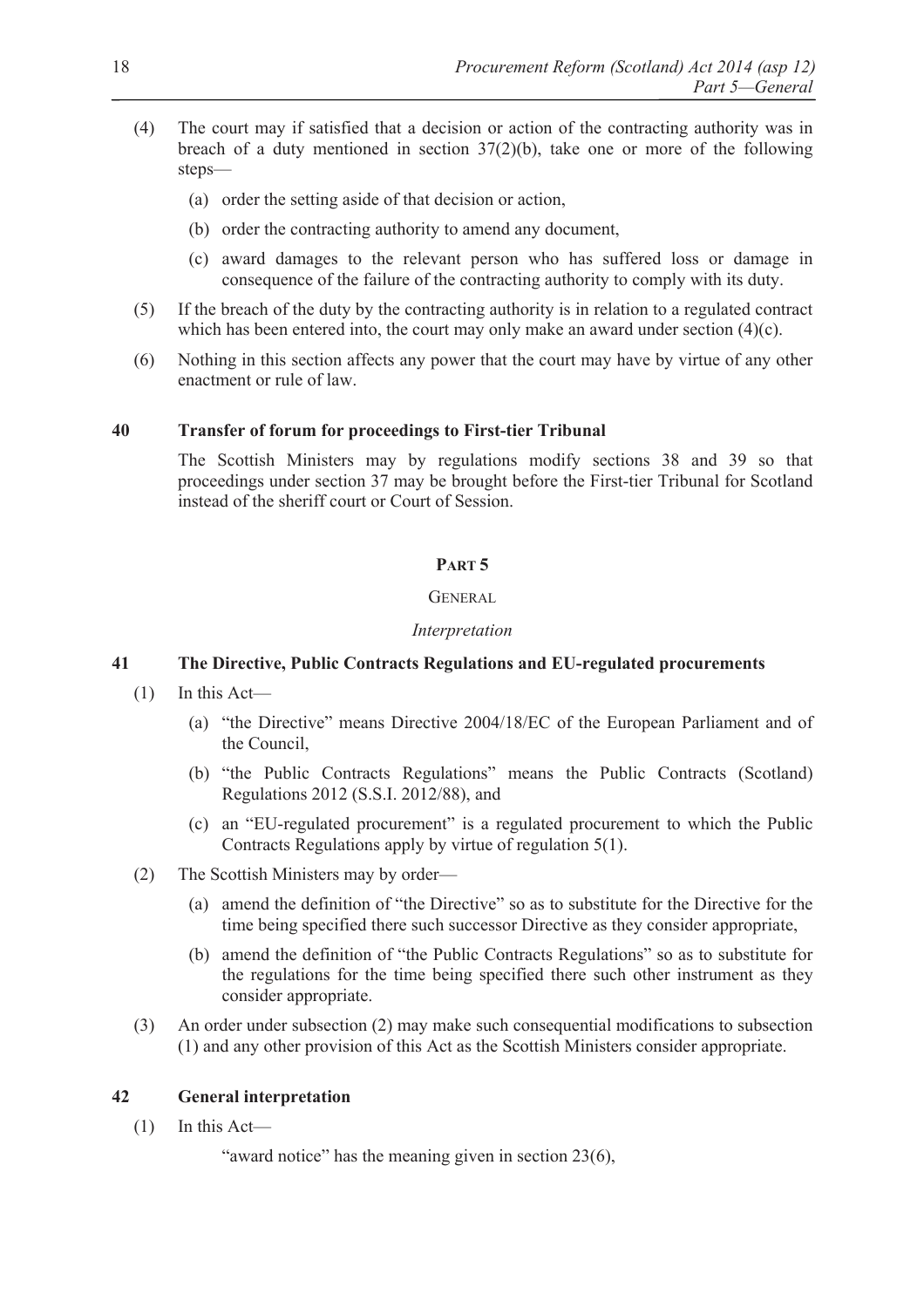- (4) The court may if satisfied that a decision or action of the contracting authority was in breach of a duty mentioned in section  $37(2)(b)$ , take one or more of the following steps—
	- (a) order the setting aside of that decision or action,
	- (b) order the contracting authority to amend any document,
	- (c) award damages to the relevant person who has suffered loss or damage in consequence of the failure of the contracting authority to comply with its duty.
- (5) If the breach of the duty by the contracting authority is in relation to a regulated contract which has been entered into, the court may only make an award under section (4)(c).
- (6) Nothing in this section affects any power that the court may have by virtue of any other enactment or rule of law.

#### **40 Transfer of forum for proceedings to First-tier Tribunal**

The Scottish Ministers may by regulations modify sections 38 and 39 so that proceedings under section 37 may be brought before the First-tier Tribunal for Scotland instead of the sheriff court or Court of Session.

#### **PART 5**

#### **GENERAL**

#### *Interpretation*

#### **41 The Directive, Public Contracts Regulations and EU-regulated procurements**

- (1) In this Act—
	- (a) "the Directive" means Directive 2004/18/EC of the European Parliament and of the Council,
	- (b) "the Public Contracts Regulations" means the Public Contracts (Scotland) Regulations 2012 (S.S.I. 2012/88), and
	- (c) an "EU-regulated procurement" is a regulated procurement to which the Public Contracts Regulations apply by virtue of regulation 5(1).
- (2) The Scottish Ministers may by order—
	- (a) amend the definition of "the Directive" so as to substitute for the Directive for the time being specified there such successor Directive as they consider appropriate,
	- (b) amend the definition of "the Public Contracts Regulations" so as to substitute for the regulations for the time being specified there such other instrument as they consider appropriate.
- (3) An order under subsection (2) may make such consequential modifications to subsection (1) and any other provision of this Act as the Scottish Ministers consider appropriate.

# **42 General interpretation**

(1) In this Act—

"award notice" has the meaning given in section 23(6),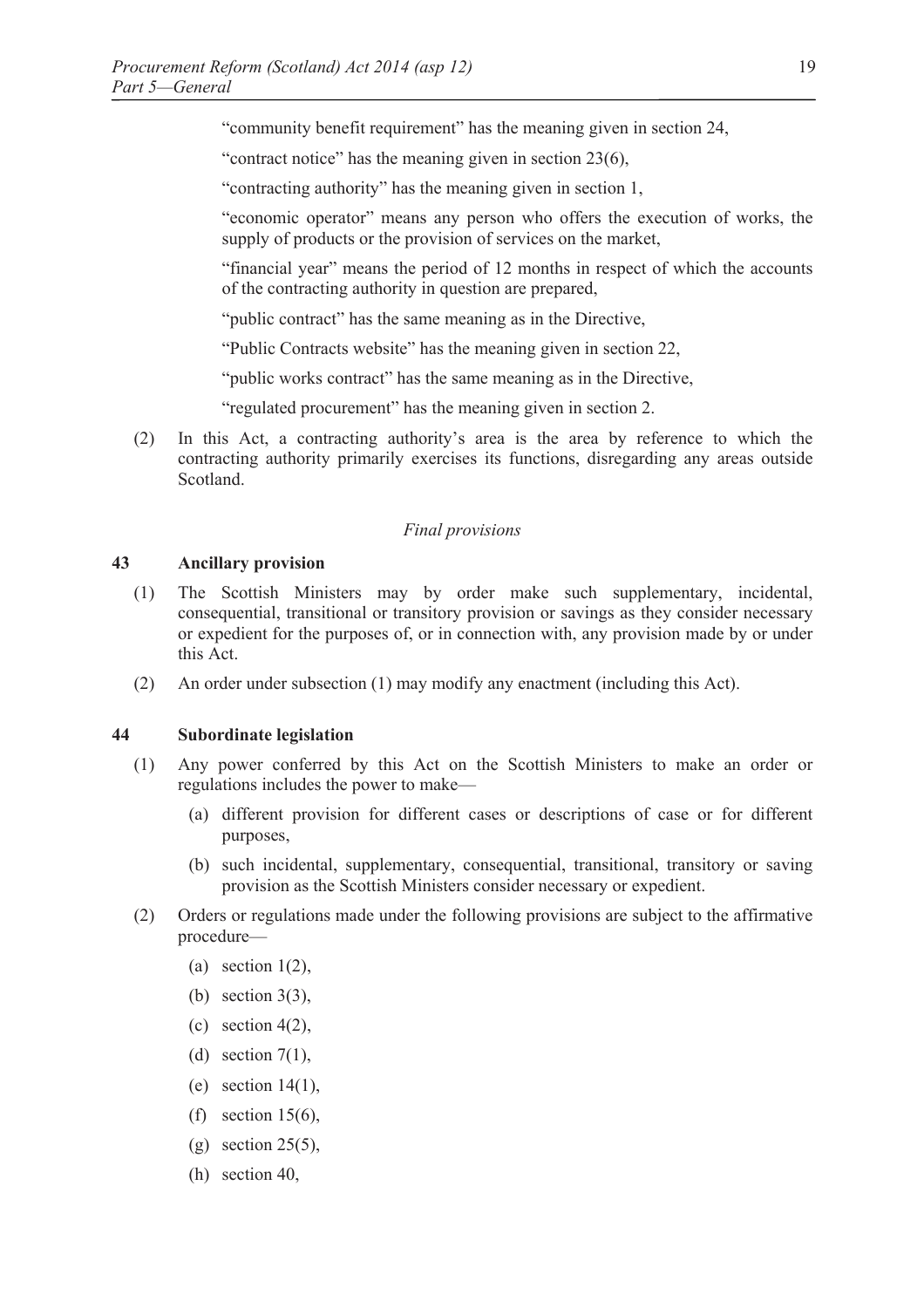"community benefit requirement" has the meaning given in section 24,

"contract notice" has the meaning given in section 23(6),

"contracting authority" has the meaning given in section 1,

"economic operator" means any person who offers the execution of works, the supply of products or the provision of services on the market,

"financial year" means the period of 12 months in respect of which the accounts of the contracting authority in question are prepared,

"public contract" has the same meaning as in the Directive,

"Public Contracts website" has the meaning given in section 22,

"public works contract" has the same meaning as in the Directive,

"regulated procurement" has the meaning given in section 2.

(2) In this Act, a contracting authority's area is the area by reference to which the contracting authority primarily exercises its functions, disregarding any areas outside Scotland.

#### *Final provisions*

#### **43 Ancillary provision**

- (1) The Scottish Ministers may by order make such supplementary, incidental, consequential, transitional or transitory provision or savings as they consider necessary or expedient for the purposes of, or in connection with, any provision made by or under this Act.
- (2) An order under subsection (1) may modify any enactment (including this Act).

# **44 Subordinate legislation**

- (1) Any power conferred by this Act on the Scottish Ministers to make an order or regulations includes the power to make—
	- (a) different provision for different cases or descriptions of case or for different purposes,
	- (b) such incidental, supplementary, consequential, transitional, transitory or saving provision as the Scottish Ministers consider necessary or expedient.
- (2) Orders or regulations made under the following provisions are subject to the affirmative procedure—
	- (a) section  $1(2)$ ,
	- (b) section 3(3),
	- (c) section  $4(2)$ ,
	- (d) section  $7(1)$ ,
	- (e) section 14(1),
	- (f) section  $15(6)$ ,
	- $(g)$  section 25(5),
	- (h) section 40,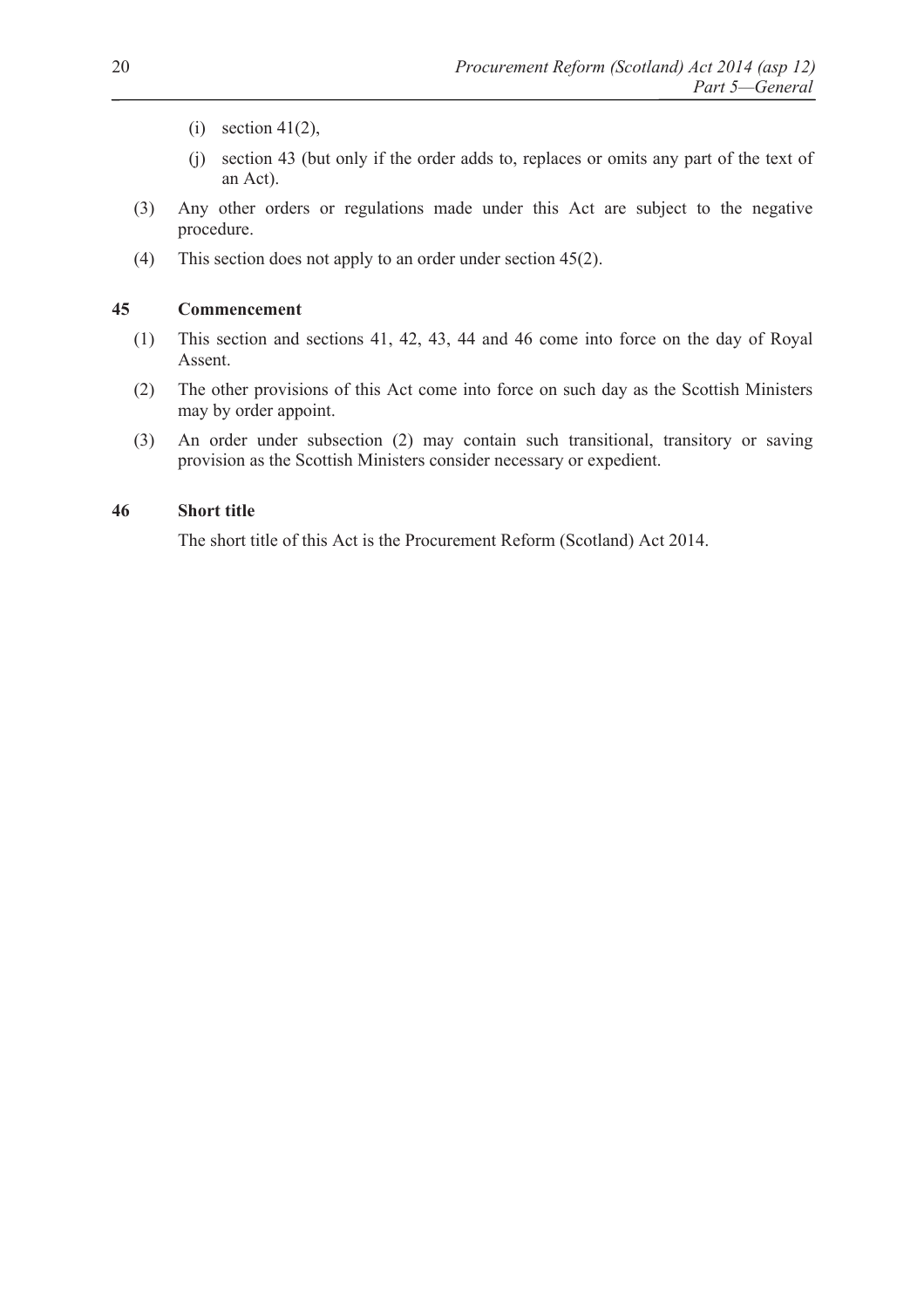- (i) section  $41(2)$ ,
- (j) section 43 (but only if the order adds to, replaces or omits any part of the text of an Act).
- (3) Any other orders or regulations made under this Act are subject to the negative procedure.
- (4) This section does not apply to an order under section 45(2).

#### **45 Commencement**

- (1) This section and sections 41, 42, 43, 44 and 46 come into force on the day of Royal Assent.
- (2) The other provisions of this Act come into force on such day as the Scottish Ministers may by order appoint.
- (3) An order under subsection (2) may contain such transitional, transitory or saving provision as the Scottish Ministers consider necessary or expedient.

# **46 Short title**

The short title of this Act is the Procurement Reform (Scotland) Act 2014.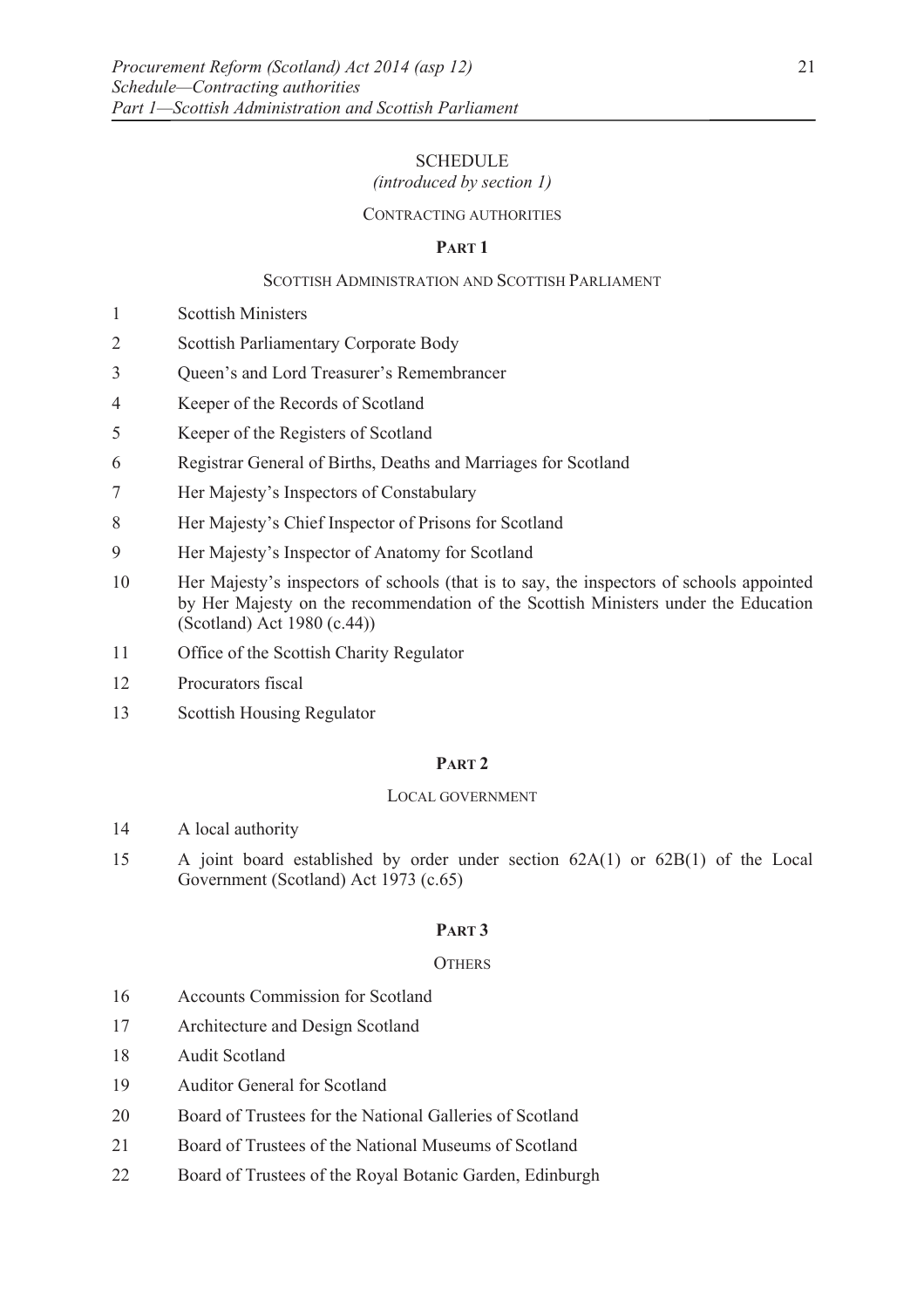# **SCHEDULE**

# *(introduced by section 1)*

## CONTRACTING AUTHORITIES

# **PART 1**

# SCOTTISH ADMINISTRATION AND SCOTTISH PARLIAMENT

- 1 Scottish Ministers
- 2 Scottish Parliamentary Corporate Body
- 3 Queen's and Lord Treasurer's Remembrancer
- 4 Keeper of the Records of Scotland
- 5 Keeper of the Registers of Scotland
- 6 Registrar General of Births, Deaths and Marriages for Scotland
- 7 Her Majesty's Inspectors of Constabulary
- 8 Her Majesty's Chief Inspector of Prisons for Scotland
- 9 Her Majesty's Inspector of Anatomy for Scotland
- 10 Her Majesty's inspectors of schools (that is to say, the inspectors of schools appointed by Her Majesty on the recommendation of the Scottish Ministers under the Education (Scotland) Act 1980 (c.44))
- 11 Office of the Scottish Charity Regulator
- 12 Procurators fiscal
- 13 Scottish Housing Regulator

#### **PART 2**

#### LOCAL GOVERNMENT

- 14 A local authority
- 15 A joint board established by order under section 62A(1) or 62B(1) of the Local Government (Scotland) Act 1973 (c.65)

# **PART 3**

#### **OTHERS**

- 16 Accounts Commission for Scotland
- 17 Architecture and Design Scotland
- 18 Audit Scotland
- 19 Auditor General for Scotland
- 20 Board of Trustees for the National Galleries of Scotland
- 21 Board of Trustees of the National Museums of Scotland
- 22 Board of Trustees of the Royal Botanic Garden, Edinburgh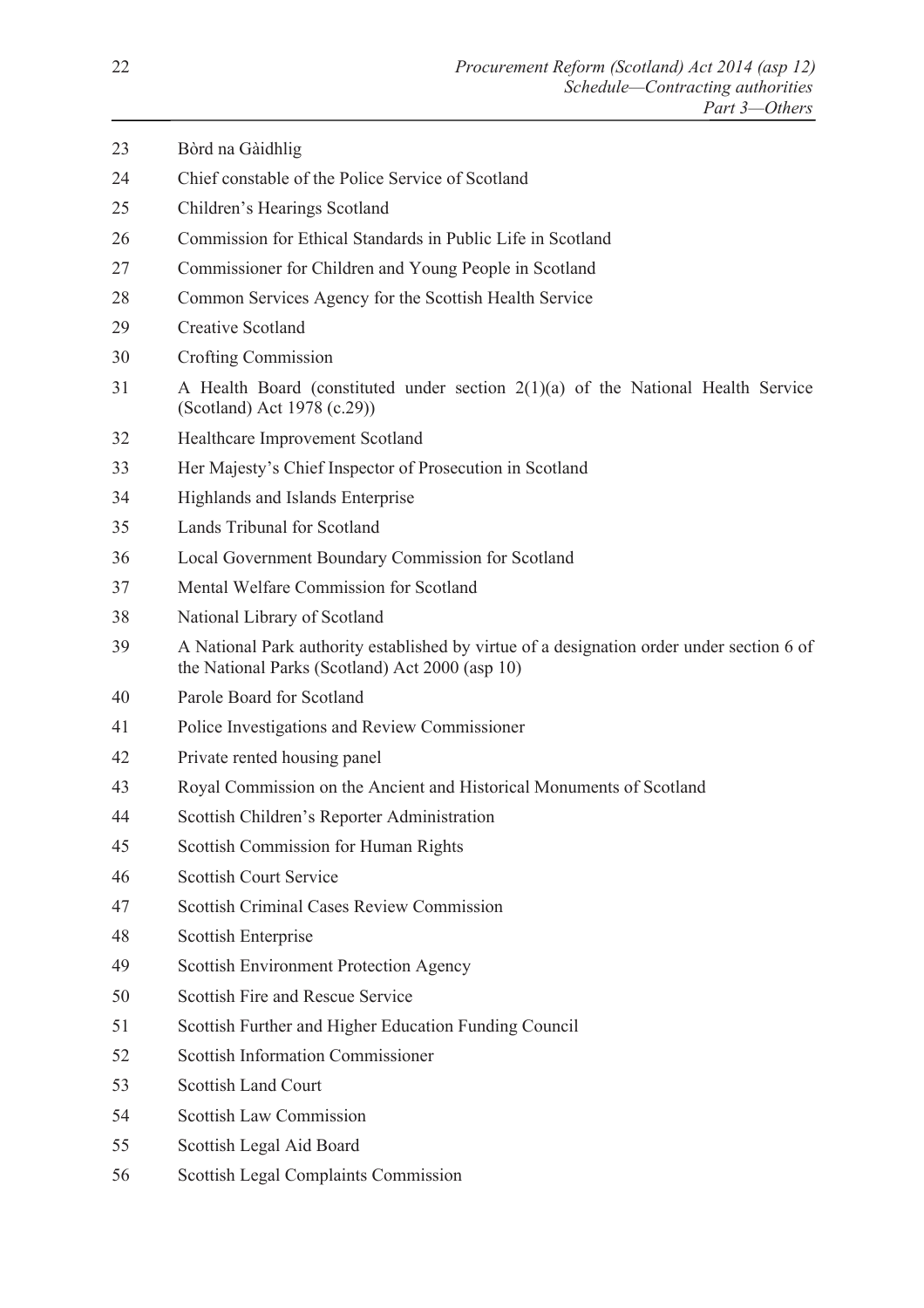- 23 Bòrd na Gàidhlig 24 Chief constable of the Police Service of Scotland 25 Children's Hearings Scotland 26 Commission for Ethical Standards in Public Life in Scotland 27 Commissioner for Children and Young People in Scotland 28 Common Services Agency for the Scottish Health Service 29 Creative Scotland 30 Crofting Commission 31 A Health Board (constituted under section 2(1)(a) of the National Health Service (Scotland) Act 1978 (c.29)) 32 Healthcare Improvement Scotland 33 Her Majesty's Chief Inspector of Prosecution in Scotland 34 Highlands and Islands Enterprise 35 Lands Tribunal for Scotland 36 Local Government Boundary Commission for Scotland 37 Mental Welfare Commission for Scotland 38 National Library of Scotland 39 A National Park authority established by virtue of a designation order under section 6 of the National Parks (Scotland) Act 2000 (asp 10) 40 Parole Board for Scotland 41 Police Investigations and Review Commissioner 42 Private rented housing panel 43 Royal Commission on the Ancient and Historical Monuments of Scotland 44 Scottish Children's Reporter Administration 45 Scottish Commission for Human Rights 46 Scottish Court Service 47 Scottish Criminal Cases Review Commission 48 Scottish Enterprise 49 Scottish Environment Protection Agency 50 Scottish Fire and Rescue Service 51 Scottish Further and Higher Education Funding Council 52 Scottish Information Commissioner 53 Scottish Land Court 54 Scottish Law Commission 55 Scottish Legal Aid Board
- 56 Scottish Legal Complaints Commission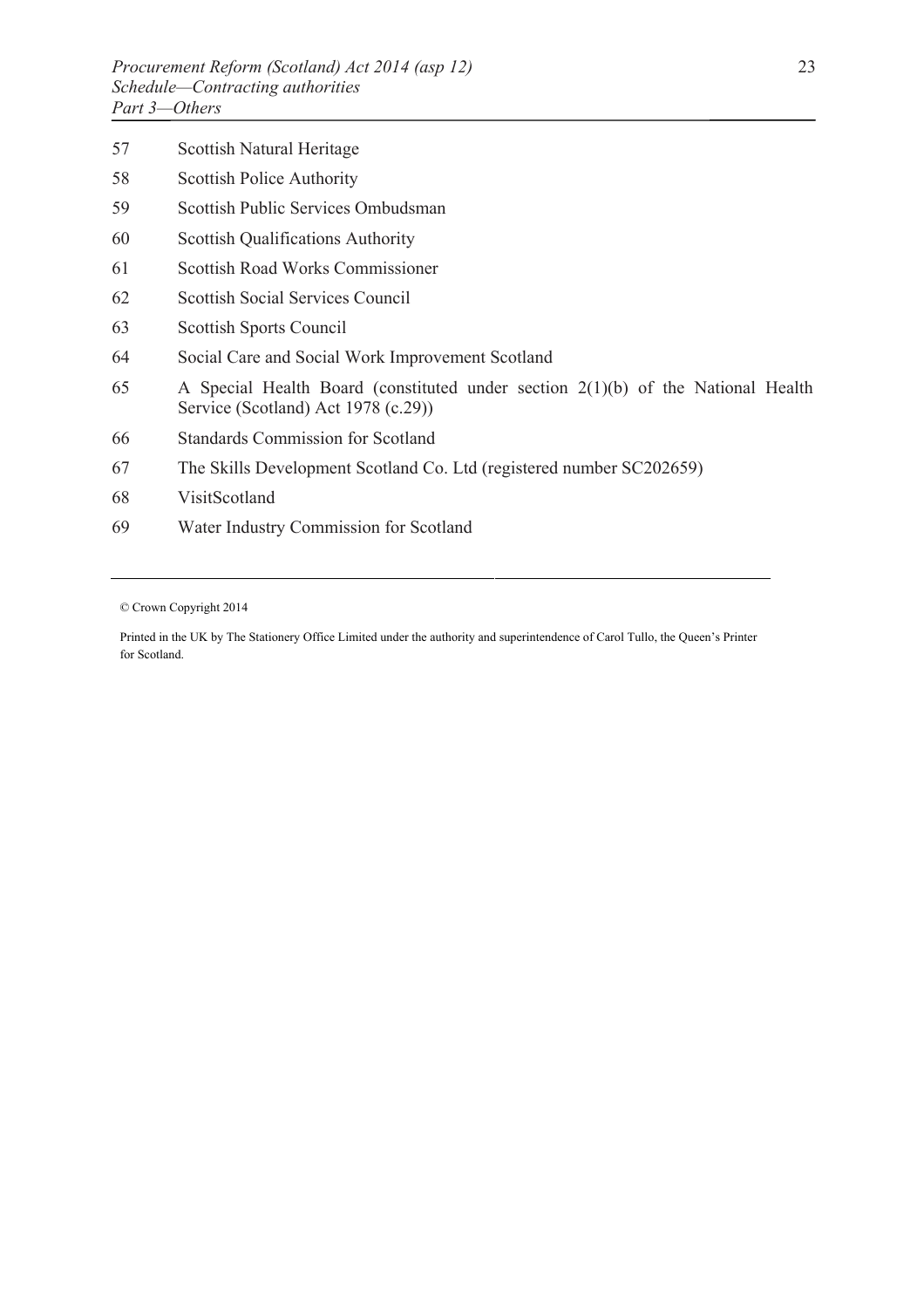| 57 | Scottish Natural Heritage                                                                                                 |
|----|---------------------------------------------------------------------------------------------------------------------------|
| 58 | <b>Scottish Police Authority</b>                                                                                          |
| 59 | Scottish Public Services Ombudsman                                                                                        |
| 60 | <b>Scottish Qualifications Authority</b>                                                                                  |
| 61 | Scottish Road Works Commissioner                                                                                          |
| 62 | Scottish Social Services Council                                                                                          |
| 63 | Scottish Sports Council                                                                                                   |
| 64 | Social Care and Social Work Improvement Scotland                                                                          |
| 65 | A Special Health Board (constituted under section $2(1)(b)$ of the National Health<br>Service (Scotland) Act 1978 (c.29)) |
| 66 | <b>Standards Commission for Scotland</b>                                                                                  |
| 67 | The Skills Development Scotland Co. Ltd (registered number SC202659)                                                      |
| 68 | VisitScotland                                                                                                             |
| 69 | Water Industry Commission for Scotland                                                                                    |
|    |                                                                                                                           |

© Crown Copyright 2014

Printed in the UK by The Stationery Office Limited under the authority and superintendence of Carol Tullo, the Queen's Printer for Scotland.